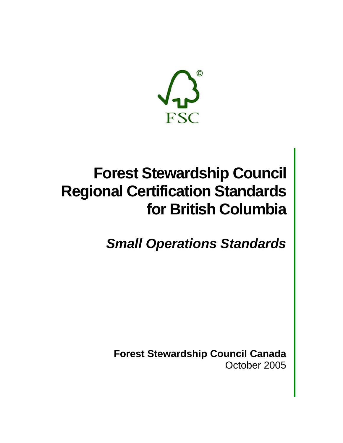

# **Forest Stewardship Council Regional Certification Standards for British Columbia**

*Small Operations Standards* 

**Forest Stewardship Council Canada**  October 2005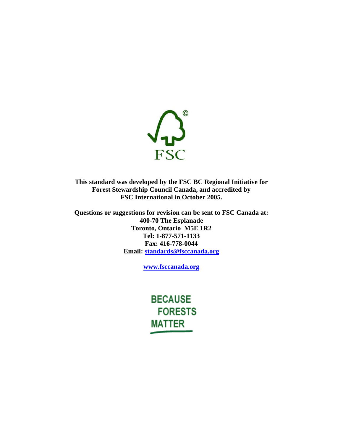

**This standard was developed by the FSC BC Regional Initiative for Forest Stewardship Council Canada, and accredited by FSC International in October 2005.** 

**Questions or suggestions for revision can be sent to FSC Canada at: 400-70 The Esplanade Toronto, Ontario M5E 1R2 Tel: 1-877-571-1133 Fax: 416-778-0044 Email: standards@fsccanada.org**

**www.fsccanada.org**

**BECAUSE FORESTS MATTER**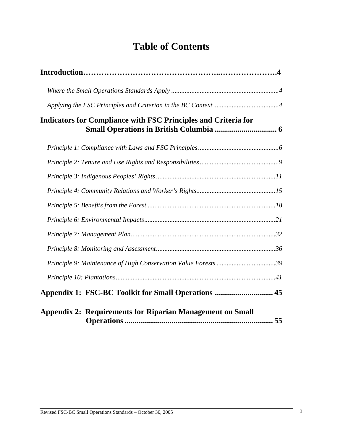# **Table of Contents**

| <b>Indicators for Compliance with FSC Principles and Criteria for</b> |  |
|-----------------------------------------------------------------------|--|
|                                                                       |  |
|                                                                       |  |
|                                                                       |  |
|                                                                       |  |
|                                                                       |  |
|                                                                       |  |
|                                                                       |  |
|                                                                       |  |
|                                                                       |  |
|                                                                       |  |
| Appendix 1: FSC-BC Toolkit for Small Operations  45                   |  |
| <b>Appendix 2: Requirements for Riparian Management on Small</b>      |  |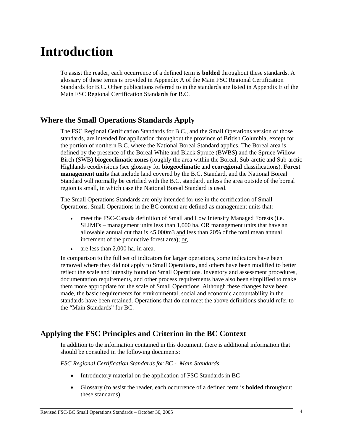# **Introduction**

To assist the reader, each occurrence of a defined term is **bolded** throughout these standards. A glossary of these terms is provided in Appendix A of the Main FSC Regional Certification Standards for B.C. Other publications referred to in the standards are listed in Appendix E of the Main FSC Regional Certification Standards for B.C.

# **Where the Small Operations Standards Apply**

The FSC Regional Certification Standards for B.C., and the Small Operations version of those standards, are intended for application throughout the province of British Columbia, except for the portion of northern B.C. where the National Boreal Standard applies. The Boreal area is defined by the presence of the Boreal White and Black Spruce (BWBS) and the Spruce Willow Birch (SWB) **biogeoclimatic zones** (roughly the area within the Boreal, Sub-arctic and Sub-arctic Highlands ecodivisions (see glossary for **biogeoclimatic** and **ecoregional** classifications). **Forest management units** that include land covered by the B.C. Standard, and the National Boreal Standard will normally be certified with the B.C. standard, unless the area outside of the boreal region is small, in which case the National Boreal Standard is used.

The Small Operations Standards are only intended for use in the certification of Small Operations. Small Operations in the BC context are defined as management units that:

- meet the FSC-Canada definition of Small and Low Intensity Managed Forests (i.e. SLIMFs – management units less than 1,000 ha, OR management units that have an allowable annual cut that is <5,000m3 and less than 20% of the total mean annual increment of the productive forest area); or,
- are less than 2,000 ha. in area.

In comparison to the full set of indicators for larger operations, some indicators have been removed where they did not apply to Small Operations, and others have been modified to better reflect the scale and intensity found on Small Operations. Inventory and assessment procedures, documentation requirements, and other process requirements have also been simplified to make them more appropriate for the scale of Small Operations. Although these changes have been made, the basic requirements for environmental, social and economic accountability in the standards have been retained. Operations that do not meet the above definitions should refer to the "Main Standards" for BC.

# **Applying the FSC Principles and Criterion in the BC Context**

In addition to the information contained in this document, there is additional information that should be consulted in the following documents:

*FSC Regional Certification Standards for BC - Main Standards* 

- Introductory material on the application of FSC Standards in BC
- Glossary (to assist the reader, each occurrence of a defined term is **bolded** throughout these standards)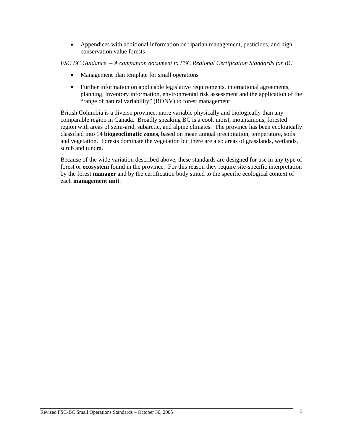• Appendices with additional information on riparian management, pesticides, and high conservation value forests

*FSC BC Guidance – A companion document to FSC Regional Certification Standards for BC* 

- Management plan template for small operations
- Further information on applicable legislative requirements, international agreements, planning, inventory information, environmental risk assessment and the application of the "range of natural variability" (RONV) to forest management

British Columbia is a diverse province, more variable physically and biologically than any comparable region in Canada. Broadly speaking BC is a cool, moist, mountainous, forested region with areas of semi-arid, subarctic, and alpine climates. The province has been ecologically classified into 14 **biogeoclimatic zones**, based on mean annual precipitation, temperature, soils and vegetation. Forests dominate the vegetation but there are also areas of grasslands, wetlands, scrub and tundra.

Because of the wide variation described above, these standards are designed for use in any type of forest or **ecosystem** found in the province. For this reason they require site-specific interpretation by the forest **manager** and by the certification body suited to the specific ecological context of each **management unit**.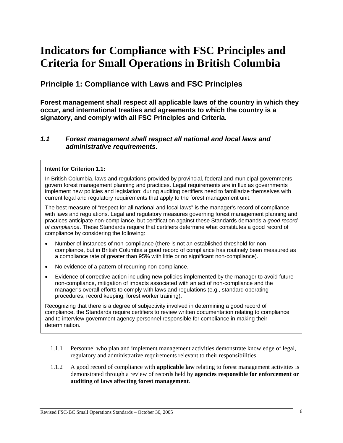# **Indicators for Compliance with FSC Principles and Criteria for Small Operations in British Columbia**

# **Principle 1: Compliance with Laws and FSC Principles**

**Forest management shall respect all applicable laws of the country in which they occur, and international treaties and agreements to which the country is a signatory, and comply with all FSC Principles and Criteria.** 

# *1.1 Forest management shall respect all national and local laws and administrative requirements.*

#### **Intent for Criterion 1.1:**

In British Columbia, laws and regulations provided by provincial, federal and municipal governments govern forest management planning and practices. Legal requirements are in flux as governments implement new policies and legislation; during auditing certifiers need to familiarize themselves with current legal and regulatory requirements that apply to the forest management unit.

The best measure of "respect for all national and local laws" is the manager's record of compliance with laws and regulations. Legal and regulatory measures governing forest management planning and practices anticipate non-compliance, but certification against these Standards demands a *good record of compliance*. These Standards require that certifiers determine what constitutes a good record of compliance by considering the following:

- Number of instances of non-compliance (there is not an established threshold for noncompliance, but in British Columbia a good record of compliance has routinely been measured as a compliance rate of greater than 95% with little or no significant non-compliance).
- No evidence of a pattern of recurring non-compliance.
- Evidence of corrective action including new policies implemented by the manager to avoid future non-compliance, mitigation of impacts associated with an act of non-compliance and the manager's overall efforts to comply with laws and regulations (e.g., standard operating procedures, record keeping, forest worker training).

Recognizing that there is a degree of subjectivity involved in determining a good record of compliance, the Standards require certifiers to review written documentation relating to compliance and to interview government agency personnel responsible for compliance in making their determination.

- 1.1.1 Personnel who plan and implement management activities demonstrate knowledge of legal, regulatory and administrative requirements relevant to their responsibilities.
- 1.1.2 A good record of compliance with **applicable law** relating to forest management activities is demonstrated through a review of records held by **agencies responsible for enforcement or auditing of laws affecting forest management**.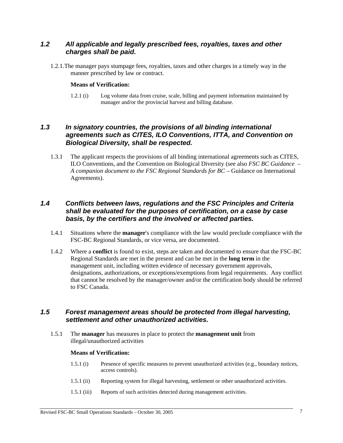# *1.2 All applicable and legally prescribed fees, royalties, taxes and other charges shall be paid.*

1.2.1.The manager pays stumpage fees, royalties, taxes and other charges in a timely way in the manner prescribed by law or contract.

#### **Means of Verification:**

1.2.1 (i) Log volume data from cruise, scale, billing and payment information maintained by manager and/or the provincial harvest and billing database.

# *1.3 In signatory countries, the provisions of all binding international agreements such as CITES, ILO Conventions, ITTA, and Convention on Biological Diversity, shall be respected.*

1.3.1 The applicant respects the provisions of all binding international agreements such as CITES, ILO Conventions, and the Convention on Biological Diversity (see also *FSC BC Guidance – A companion document to the FSC Regional Standards for BC –* Guidance on International Agreements).

# *1.4 Conflicts between laws, regulations and the FSC Principles and Criteria shall be evaluated for the purposes of certification, on a case by case basis, by the certifiers and the involved or affected parties.*

- 1.4.1 Situations where the **manager**'s compliance with the law would preclude compliance with the FSC-BC Regional Standards, or vice versa, are documented.
- 1.4.2 Where a **conflict** is found to exist, steps are taken and documented to ensure that the FSC-BC Regional Standards are met in the present and can be met in the **long term** in the management unit, including written evidence of necessary government approvals, designations, authorizations, or exceptions/exemptions from legal requirements. Any conflict that cannot be resolved by the manager/owner and/or the certification body should be referred to FSC Canada.

## *1.5 Forest management areas should be protected from illegal harvesting, settlement and other unauthorized activities.*

1.5.1 The **manager** has measures in place to protect the **management unit** from illegal/unauthorized activities

#### **Means of Verification:**

- 1.5.1 (i) Presence of specific measures to prevent unauthorized activities (e.g., boundary notices, access controls).
- 1.5.1 (ii) Reporting system for illegal harvesting, settlement or other unauthorized activities.
- 1.5.1 (iii) Reports of such activities detected during management activities.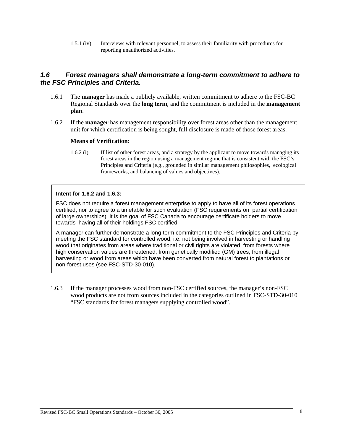1.5.1 (iv) Interviews with relevant personnel, to assess their familiarity with procedures for reporting unauthorized activities.

# *1.6 Forest managers shall demonstrate a long-term commitment to adhere to the FSC Principles and Criteria.*

- 1.6.1 The **manager** has made a publicly available, written commitment to adhere to the FSC-BC Regional Standards over the **long term**, and the commitment is included in the **management plan**.
- 1.6.2 If the **manager** has management responsibility over forest areas other than the management unit for which certification is being sought, full disclosure is made of those forest areas.

#### **Means of Verification:**

1.6.2 (i) If list of other forest areas, and a strategy by the applicant to move towards managing its forest areas in the region using a management regime that is consistent with the FSC's Principles and Criteria (e.g., grounded in similar management philosophies, ecological frameworks, and balancing of values and objectives).

#### **Intent for 1.6.2 and 1.6.3:**

FSC does not require a forest management enterprise to apply to have all of its forest operations certified, nor to agree to a timetable for such evaluation (FSC requirements on partial certification of large ownerships). It is the goal of FSC Canada to encourage certificate holders to move towards having all of their holdings FSC certified.

A manager can further demonstrate a long-term commitment to the FSC Principles and Criteria by meeting the FSC standard for controlled wood, i.e. not being involved in harvesting or handling wood that originates from areas where traditional or civil rights are violated; from forests where high conservation values are threatened; from genetically modified (GM) trees; from illegal harvesting or wood from areas which have been converted from natural forest to plantations or non-forest uses (see FSC-STD-30-010).

1.6.3 If the manager processes wood from non-FSC certified sources, the manager's non-FSC wood products are not from sources included in the categories outlined in FSC-STD-30-010 "FSC standards for forest managers supplying controlled wood".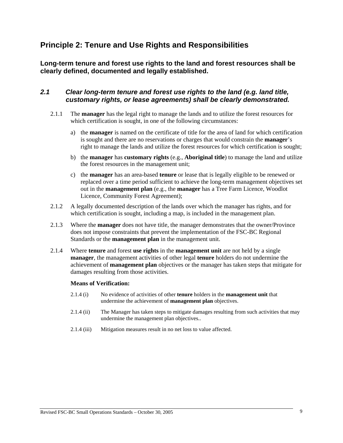# **Principle 2: Tenure and Use Rights and Responsibilities**

**Long-term tenure and forest use rights to the land and forest resources shall be clearly defined, documented and legally established.** 

# *2.1 Clear long-term tenure and forest use rights to the land (e.g. land title, customary rights, or lease agreements) shall be clearly demonstrated.*

- 2.1.1 The **manager** has the legal right to manage the lands and to utilize the forest resources for which certification is sought, in one of the following circumstances:
	- a) the **manager** is named on the certificate of title for the area of land for which certification is sought and there are no reservations or charges that would constrain the **manager**'s right to manage the lands and utilize the forest resources for which certification is sought;
	- b) the **manager** has **customary rights** (e.g., **Aboriginal title**) to manage the land and utilize the forest resources in the management unit;
	- c) the **manager** has an area-based **tenure** or lease that is legally eligible to be renewed or replaced over a time period sufficient to achieve the long-term management objectives set out in the **management plan** (e.g., the **manager** has a Tree Farm Licence, Woodlot Licence, Community Forest Agreement);
- 2.1.2 A legally documented description of the lands over which the manager has rights, and for which certification is sought, including a map, is included in the management plan.
- 2.1.3 Where the **manager** does not have title, the manager demonstrates that the owner/Province does not impose constraints that prevent the implementation of the FSC-BC Regional Standards or the **management plan** in the management unit.
- 2.1.4 Where **tenure** and forest **use rights** in the **management unit** are not held by a single **manager**, the management activities of other legal **tenure** holders do not undermine the achievement of **management plan** objectives or the manager has taken steps that mitigate for damages resulting from those activities.

#### **Means of Verification:**

- 2.1.4 (i) No evidence of activities of other **tenure** holders in the **management unit** that undermine the achievement of **management plan** objectives.
- 2.1.4 (ii) The Manager has taken steps to mitigate damages resulting from such activities that may undermine the management plan objectives..
- 2.1.4 (iii) Mitigation measures result in no net loss to value affected.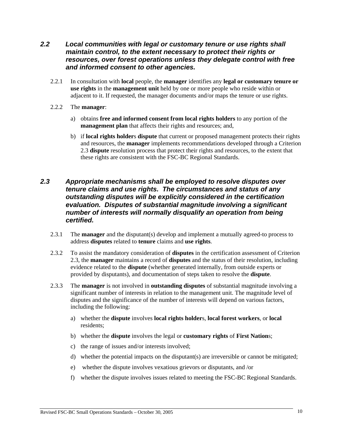- *2.2 Local communities with legal or customary tenure or use rights shall maintain control, to the extent necessary to protect their rights or resources, over forest operations unless they delegate control with free and informed consent to other agencies.* 
	- 2.2.1 In consultation with **local** people, the **manager** identifies any **legal or customary tenure or use rights** in the **management unit** held by one or more people who reside within or adjacent to it. If requested, the manager documents and/or maps the tenure or use rights.
	- 2.2.2 The **manager**:
		- a) obtains **free and informed consent from local rights holders** to any portion of the **management plan** that affects their rights and resources; and,
		- b) if **local rights holder**s **dispute** that current or proposed management protects their rights and resources, the **manager** implements recommendations developed through a Criterion 2.3 **dispute** resolution process that protect their rights and resources, to the extent that these rights are consistent with the FSC-BC Regional Standards.

# *2.3 Appropriate mechanisms shall be employed to resolve disputes over tenure claims and use rights. The circumstances and status of any outstanding disputes will be explicitly considered in the certification evaluation. Disputes of substantial magnitude involving a significant number of interests will normally disqualify an operation from being certified.*

- 2.3.1 The **manager** and the disputant(s) develop and implement a mutually agreed-to process to address **disputes** related to **tenure** claims and **use rights**.
- 2.3.2 To assist the mandatory consideration of **disputes** in the certification assessment of Criterion 2.3, the **manager** maintains a record of **disputes** and the status of their resolution, including evidence related to the **dispute** (whether generated internally, from outside experts or provided by disputants), and documentation of steps taken to resolve the **dispute**.
- 2.3.3 The **manager** is not involved in **outstanding disputes** of substantial magnitude involving a significant number of interests in relation to the management unit. The magnitude level of disputes and the significance of the number of interests will depend on various factors, including the following:
	- a) whether the **dispute** involves **local rights holder**s, **local forest workers**, or **local** residents;
	- b) whether the **dispute** involves the legal or **customary rights** of **First Nation**s;
	- c) the range of issues and/or interests involved;
	- d) whether the potential impacts on the disputant(s) are irreversible or cannot be mitigated;
	- e) whether the dispute involves vexatious grievors or disputants, and /or
	- f) whether the dispute involves issues related to meeting the FSC-BC Regional Standards.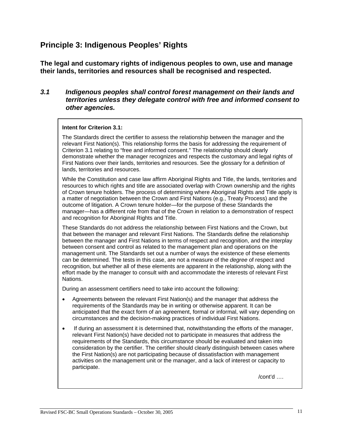# **Principle 3: Indigenous Peoples' Rights**

**The legal and customary rights of indigenous peoples to own, use and manage their lands, territories and resources shall be recognised and respected.** 

# *3.1 Indigenous peoples shall control forest management on their lands and territories unless they delegate control with free and informed consent to other agencies.*

## **Intent for Criterion 3.1:**

The Standards direct the certifier to assess the relationship between the manager and the relevant First Nation(s). This relationship forms the basis for addressing the requirement of Criterion 3.1 relating to "free and informed consent." The relationship should clearly demonstrate whether the manager recognizes and respects the customary and legal rights of First Nations over their lands, territories and resources. See the glossary for a definition of lands, territories and resources.

While the Constitution and case law affirm Aboriginal Rights and Title, the lands, territories and resources to which rights and title are associated overlap with Crown ownership and the rights of Crown tenure holders. The process of determining where Aboriginal Rights and Title apply is a matter of negotiation between the Crown and First Nations (e.g., Treaty Process) and the outcome of litigation. A Crown tenure holder—for the purpose of these Standards the manager—has a different role from that of the Crown in relation to a demonstration of respect and recognition for Aboriginal Rights and Title.

These Standards do not address the relationship between First Nations and the Crown, but that between the manager and relevant First Nations. The Standards define the relationship between the manager and First Nations in terms of respect and recognition, and the interplay between consent and control as related to the management plan and operations on the management unit. The Standards set out a number of ways the existence of these elements can be determined. The tests in this case, are not a measure of the *degree* of respect and recognition, but whether all of these elements are apparent in the relationship, along with the effort made by the manager to consult with and accommodate the interests of relevant First Nations.

During an assessment certifiers need to take into account the following:

- Agreements between the relevant First Nation(s) and the manager that address the requirements of the Standards may be in writing or otherwise apparent. It can be anticipated that the exact form of an agreement, formal or informal, will vary depending on circumstances and the decision-making practices of individual First Nations.
- If during an assessment it is determined that, notwithstanding the efforts of the manager, relevant First Nation(s) have decided not to participate in measures that address the requirements of the Standards, this circumstance should be evaluated and taken into consideration by the certifier. The certifier should clearly distinguish between cases where the First Nation(s) are not participating because of dissatisfaction with management activities on the management unit or the manager, and a lack of interest or capacity to participate.

 $\alpha$  /cont'd  $\beta$  ...  $\beta$  /cont'd  $\beta$  ...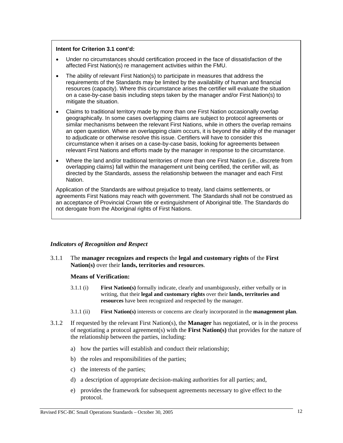#### **Intent for Criterion 3.1 cont'd:**

- Under no circumstances should certification proceed in the face of dissatisfaction of the affected First Nation(s) re management activities within the FMU.
- The ability of relevant First Nation(s) to participate in measures that address the requirements of the Standards may be limited by the availability of human and financial resources (capacity). Where this circumstance arises the certifier will evaluate the situation on a case-by-case basis including steps taken by the manager and/or First Nation(s) to mitigate the situation.
- Claims to traditional territory made by more than one First Nation occasionally overlap geographically. In some cases overlapping claims are subject to protocol agreements or similar mechanisms between the relevant First Nations, while in others the overlap remains an open question. Where an overlapping claim occurs, it is beyond the ability of the manager to adjudicate or otherwise resolve this issue. Certifiers will have to consider this circumstance when it arises on a case-by-case basis, looking for agreements between relevant First Nations and efforts made by the manager in response to the circumstance.
- Where the land and/or traditional territories of more than one First Nation (i.e., discrete from overlapping claims) fall within the management unit being certified, the certifier will, as directed by the Standards, assess the relationship between the manager and each First Nation.

Application of the Standards are without prejudice to treaty, land claims settlements, or agreements First Nations may reach with government. The Standards shall not be construed as an acceptance of Provincial Crown title or extinguishment of Aboriginal title. The Standards do not derogate from the Aboriginal rights of First Nations.

#### *Indicators of Recognition and Respect*

3.1.1 The **manager recognizes and respects** the **legal and customary rights** of the **First Nation(s)** over their **lands, territories and resources**.

#### **Means of Verification:**

- 3.1.1 (i) **First Nation(s)** formally indicate, clearly and unambiguously, either verbally or in writing, that their **legal and customary rights** over their **lands, territories and resources** have been recognized and respected by the manager.
- 3.1.1 (ii) **First Nation(s)** interests or concerns are clearly incorporated in the **management plan**.
- 3.1.2 If requested by the relevant First Nation(s), the **Manager** has negotiated, or is in the process of negotiating a protocol agreement(s) with the **First Nation(s)** that provides for the nature of the relationship between the parties, including:
	- a) how the parties will establish and conduct their relationship;
	- b) the roles and responsibilities of the parties;
	- c) the interests of the parties;
	- d) a description of appropriate decision-making authorities for all parties; and,
	- e) provides the framework for subsequent agreements necessary to give effect to the protocol.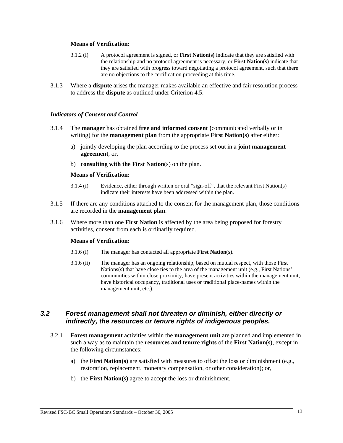#### **Means of Verification:**

- 3.1.2 (i) A protocol agreement is signed, or **First Nation(s)** indicate that they are satisfied with the relationship and no protocol agreement is necessary, or **First Nation(s)** indicate that they are satisfied with progress toward negotiating a protocol agreement, such that there are no objections to the certification proceeding at this time.
- 3.1.3 Where a **dispute** arises the manager makes available an effective and fair resolution process to address the **dispute** as outlined under Criterion 4.5.

#### *Indicators of Consent and Control*

- 3.1.4 The **manager** has obtained **free and informed consent (**communicated verbally or in writing) for the **management plan** from the appropriate **First Nation(s)** after either:
	- a) jointly developing the plan according to the process set out in a **joint management agreement**, or,
	- b) **consulting with the First Nation**(s) on the plan.

#### **Means of Verification:**

- 3.1.4 (i) Evidence, either through written or oral "sign-off", that the relevant First Nation(s) indicate their interests have been addressed within the plan.
- 3.1.5 If there are any conditions attached to the consent for the management plan, those conditions are recorded in the **management plan**.
- 3.1.6 Where more than one **First Nation** is affected by the area being proposed for forestry activities, consent from each is ordinarily required.

#### **Means of Verification:**

- 3.1.6 (i) The manager has contacted all appropriate **First Nation**(s).
- 3.1.6 (ii) The manager has an ongoing relationship, based on mutual respect, with those First Nations(s) that have close ties to the area of the management unit (e.g., First Nations' communities within close proximity, have present activities within the management unit, have historical occupancy, traditional uses or traditional place-names within the management unit, etc.).

# *3.2 Forest management shall not threaten or diminish, either directly or indirectly, the resources or tenure rights of indigenous peoples.*

- 3.2.1 **Forest management** activities within the **management unit** are planned and implemented in such a way as to maintain the **resources and tenure rights** of the **First Nation(s)**, except in the following circumstances:
	- a) the **First Nation(s)** are satisfied with measures to offset the loss or diminishment (e.g., restoration, replacement, monetary compensation, or other consideration); or,
	- b) the **First Nation(s)** agree to accept the loss or diminishment.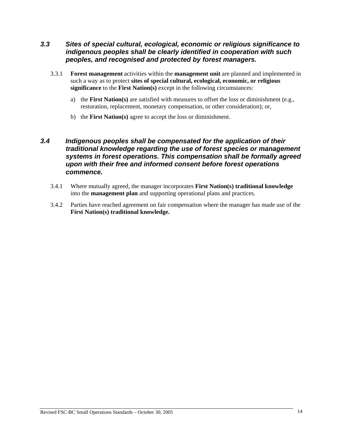# *3.3 Sites of special cultural, ecological, economic or religious significance to indigenous peoples shall be clearly identified in cooperation with such peoples, and recognised and protected by forest managers.*

- 3.3.1 **Forest management** activities within the **management unit** are planned and implemented in such a way as to protect **sites of special cultural, ecological, economic, or religious significance** to the **First Nation(s)** except in the following circumstances:
	- a) the **First Nation(s)** are satisfied with measures to offset the loss or diminishment (e.g., restoration, replacement, monetary compensation, or other consideration); or,
	- b) the **First Nation(s)** agree to accept the loss or diminishment.

# *3.4 Indigenous peoples shall be compensated for the application of their traditional knowledge regarding the use of forest species or management systems in forest operations. This compensation shall be formally agreed upon with their free and informed consent before forest operations commence.*

- 3.4.1 Where mutually agreed, the manager incorporates **First Nation(s) traditional knowledge** into the **management plan** and supporting operational plans and practices.
- 3.4.2 Parties have reached agreement on fair compensation where the manager has made use of the **First Nation(s) traditional knowledge.**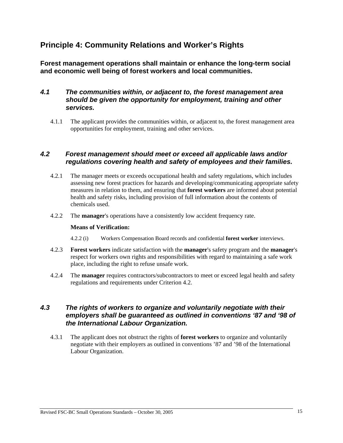# **Principle 4: Community Relations and Worker's Rights**

**Forest management operations shall maintain or enhance the long-term social and economic well being of forest workers and local communities.** 

# *4.1 The communities within, or adjacent to, the forest management area should be given the opportunity for employment, training and other services.*

4.1.1 The applicant provides the communities within, or adjacent to, the forest management area opportunities for employment, training and other services.

# *4.2 Forest management should meet or exceed all applicable laws and/or regulations covering health and safety of employees and their families.*

- 4.2.1 The manager meets or exceeds occupational health and safety regulations, which includes assessing new forest practices for hazards and developing/communicating appropriate safety measures in relation to them, and ensuring that **forest workers** are informed about potential health and safety risks, including provision of full information about the contents of chemicals used.
- 4.2.2 The **manager**'s operations have a consistently low accident frequency rate.

#### **Means of Verification:**

- 4.2.2 (i) Workers Compensation Board records and confidential **forest worker** interviews.
- 4.2.3 **Forest workers** indicate satisfaction with the **manager**'s safety program and the **manager**'s respect for workers own rights and responsibilities with regard to maintaining a safe work place, including the right to refuse unsafe work.
- 4.2.4 The **manager** requires contractors/subcontractors to meet or exceed legal health and safety regulations and requirements under Criterion 4.2.

# *4.3 The rights of workers to organize and voluntarily negotiate with their employers shall be guaranteed as outlined in conventions '87 and '98 of the International Labour Organization.*

4.3.1 The applicant does not obstruct the rights of **forest workers** to organize and voluntarily negotiate with their employers as outlined in conventions '87 and '98 of the International Labour Organization.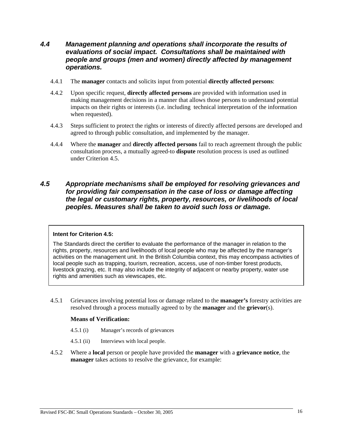# *4.4 Management planning and operations shall incorporate the results of evaluations of social impact. Consultations shall be maintained with people and groups (men and women) directly affected by management operations.*

- 4.4.1 The **manager** contacts and solicits input from potential **directly affected persons**:
- 4.4.2 Upon specific request, **directly affected persons** are provided with information used in making management decisions in a manner that allows those persons to understand potential impacts on their rights or interests (i.e. including technical interpretation of the information when requested).
- 4.4.3 Steps sufficient to protect the rights or interests of directly affected persons are developed and agreed to through public consultation, and implemented by the manager.
- 4.4.4 Where the **manager** and **directly affected persons** fail to reach agreement through the public consultation process, a mutually agreed-to **dispute** resolution process is used as outlined under Criterion 4.5.

# *4.5 Appropriate mechanisms shall be employed for resolving grievances and for providing fair compensation in the case of loss or damage affecting the legal or customary rights, property, resources, or livelihoods of local peoples. Measures shall be taken to avoid such loss or damage.*

#### **Intent for Criterion 4.5:**

The Standards direct the certifier to evaluate the performance of the manager in relation to the rights, property, resources and livelihoods of local people who may be affected by the manager's activities on the management unit. In the British Columbia context, this may encompass activities of local people such as trapping, tourism, recreation, access, use of non-timber forest products, livestock grazing, etc. It may also include the integrity of adjacent or nearby property, water use rights and amenities such as viewscapes, etc.

4.5.1 Grievances involving potential loss or damage related to the **manager's** forestry activities are resolved through a process mutually agreed to by the **manager** and the **grievor**(s).

#### **Means of Verification:**

- 4.5.1 (i) Manager's records of grievances
- 4.5.1 (ii) Interviews with local people.
- 4.5.2 Where a **local** person or people have provided the **manager** with a **grievance notice**, the **manager** takes actions to resolve the grievance, for example: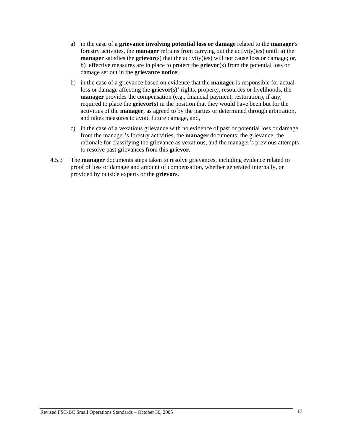- a) in the case of a **grievance involving potential loss or damage** related to the **manager**'s forestry activities, the **manager** refrains from carrying out the activity(ies) until: a) the **manager** satisfies the **grievor**(s) that the activity(ies) will not cause loss or damage; or, b) effective measures are in place to protect the **grievor**(s) from the potential loss or damage set out in the **grievance notice**;
- b) in the case of a grievance based on evidence that the **manager** is responsible for actual loss or damage affecting the **grievor**(s)' rights, property, resources or livelihoods, the **manager** provides the compensation (e.g., financial payment, restoration), if any, required to place the **grievor**(s) in the position that they would have been but for the activities of the **manager**, as agreed to by the parties or determined through arbitration, and takes measures to avoid future damage, and,
- c) in the case of a vexatious grievance with no evidence of past or potential loss or damage from the manager's forestry activities, the **manager** documents: the grievance, the rationale for classifying the grievance as vexatious, and the manager's previous attempts to resolve past grievances from this **grievor**.
- 4.5.3 The **manager** documents steps taken to resolve grievances, including evidence related to proof of loss or damage and amount of compensation, whether generated internally, or provided by outside experts or the **grievors**.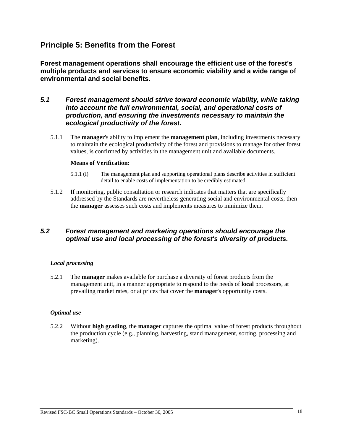# **Principle 5: Benefits from the Forest**

**Forest management operations shall encourage the efficient use of the forest's multiple products and services to ensure economic viability and a wide range of environmental and social benefits.** 

# *5.1 Forest management should strive toward economic viability, while taking into account the full environmental, social, and operational costs of production, and ensuring the investments necessary to maintain the ecological productivity of the forest.*

5.1.1 The **manager**'s ability to implement the **management plan**, including investments necessary to maintain the ecological productivity of the forest and provisions to manage for other forest values, is confirmed by activities in the management unit and available documents.

### **Means of Verification:**

- 5.1.1 (i) The management plan and supporting operational plans describe activities in sufficient detail to enable costs of implementation to be credibly estimated.
- 5.1.2 If monitoring, public consultation or research indicates that matters that are specifically addressed by the Standards are nevertheless generating social and environmental costs, then the **manager** assesses such costs and implements measures to minimize them.

# *5.2 Forest management and marketing operations should encourage the optimal use and local processing of the forest's diversity of products.*

## *Local processing*

5.2.1 The **manager** makes available for purchase a diversity of forest products from the management unit, in a manner appropriate to respond to the needs of **local** processors, at prevailing market rates, or at prices that cover the **manager**'s opportunity costs.

## *Optimal use*

5.2.2 Without **high grading**, the **manager** captures the optimal value of forest products throughout the production cycle (e.g., planning, harvesting, stand management, sorting, processing and marketing).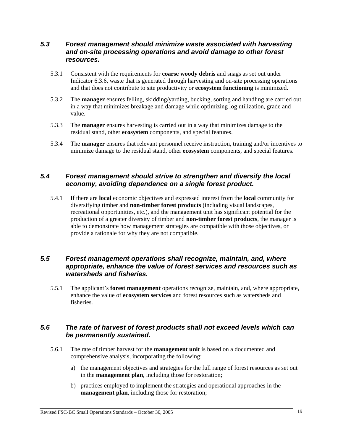# *5.3 Forest management should minimize waste associated with harvesting and on-site processing operations and avoid damage to other forest resources.*

- 5.3.1 Consistent with the requirements for **coarse woody debris** and snags as set out under Indicator 6.3.6, waste that is generated through harvesting and on-site processing operations and that does not contribute to site productivity or **ecosystem functioning** is minimized.
- 5.3.2 The **manager** ensures felling, skidding/yarding, bucking, sorting and handling are carried out in a way that minimizes breakage and damage while optimizing log utilization, grade and value.
- 5.3.3 The **manager** ensures harvesting is carried out in a way that minimizes damage to the residual stand, other **ecosystem** components, and special features.
- 5.3.4 The **manager** ensures that relevant personnel receive instruction, training and/or incentives to minimize damage to the residual stand, other **ecosystem** components, and special features.

# *5.4 Forest management should strive to strengthen and diversify the local economy, avoiding dependence on a single forest product.*

5.4.1 If there are **local** economic objectives and expressed interest from the **local** community for diversifying timber and **non-timber forest products** (including visual landscapes, recreational opportunities, etc.), and the management unit has significant potential for the production of a greater diversity of timber and **non-timber forest products**, the manager is able to demonstrate how management strategies are compatible with those objectives, or provide a rationale for why they are not compatible.

# *5.5 Forest management operations shall recognize, maintain, and, where appropriate, enhance the value of forest services and resources such as watersheds and fisheries.*

5.5.1 The applicant's **forest management** operations recognize, maintain, and, where appropriate, enhance the value of **ecosystem services** and forest resources such as watersheds and fisheries.

# *5.6 The rate of harvest of forest products shall not exceed levels which can be permanently sustained.*

- 5.6.1 The rate of timber harvest for the **management unit** is based on a documented and comprehensive analysis, incorporating the following:
	- a) the management objectives and strategies for the full range of forest resources as set out in the **management plan**, including those for restoration;
	- b) practices employed to implement the strategies and operational approaches in the **management plan**, including those for restoration;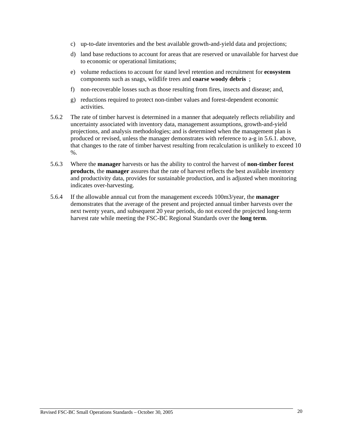- c) up-to-date inventories and the best available growth-and-yield data and projections;
- d) land base reductions to account for areas that are reserved or unavailable for harvest due to economic or operational limitations;
- e) volume reductions to account for stand level retention and recruitment for **ecosystem** components such as snags, wildlife trees and **coarse woody debris** ;
- f) non-recoverable losses such as those resulting from fires, insects and disease; and,
- g) reductions required to protect non-timber values and forest-dependent economic activities.
- 5.6.2 The rate of timber harvest is determined in a manner that adequately reflects reliability and uncertainty associated with inventory data, management assumptions, growth-and-yield projections, and analysis methodologies; and is determined when the management plan is produced or revised, unless the manager demonstrates with reference to a-g in 5.6.1. above, that changes to the rate of timber harvest resulting from recalculation is unlikely to exceed 10 %.
- 5.6.3 Where the **manager** harvests or has the ability to control the harvest of **non-timber forest products**, the **manager** assures that the rate of harvest reflects the best available inventory and productivity data, provides for sustainable production, and is adjusted when monitoring indicates over-harvesting.
- 5.6.4 If the allowable annual cut from the management exceeds 100m3/year, the **manager** demonstrates that the average of the present and projected annual timber harvests over the next twenty years, and subsequent 20 year periods, do not exceed the projected long-term harvest rate while meeting the FSC-BC Regional Standards over the **long term**.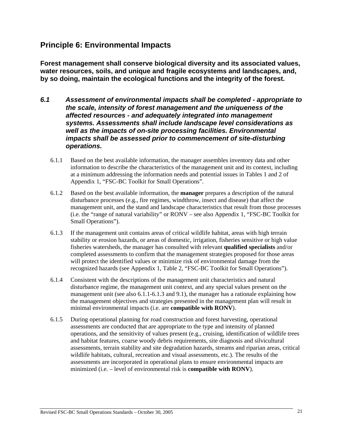# **Principle 6: Environmental Impacts**

**Forest management shall conserve biological diversity and its associated values, water resources, soils, and unique and fragile ecosystems and landscapes, and, by so doing, maintain the ecological functions and the integrity of the forest.** 

- *6.1 Assessment of environmental impacts shall be completed appropriate to the scale, intensity of forest management and the uniqueness of the affected resources - and adequately integrated into management systems. Assessments shall include landscape level considerations as well as the impacts of on-site processing facilities. Environmental impacts shall be assessed prior to commencement of site-disturbing operations.* 
	- 6.1.1 Based on the best available information, the manager assembles inventory data and other information to describe the characteristics of the management unit and its context, including at a minimum addressing the information needs and potential issues in Tables 1 and 2 of Appendix 1, "FSC-BC Toolkit for Small Operations".
	- 6.1.2 Based on the best available information, the **manager** prepares a description of the natural disturbance processes (e.g., fire regimes, windthrow, insect and disease) that affect the management unit, and the stand and landscape characteristics that result from those processes (i.e. the "range of natural variability" or RONV – see also Appendix 1, "FSC-BC Toolkit for Small Operations").
	- 6.1.3 If the management unit contains areas of critical wildlife habitat, areas with high terrain stability or erosion hazards, or areas of domestic, irrigation, fisheries sensitive or high value fisheries watersheds, the manager has consulted with relevant **qualified specialists** and/or completed assessments to confirm that the management strategies proposed for those areas will protect the identified values or minimize risk of environmental damage from the recognized hazards (see Appendix 1, Table 2, "FSC-BC Toolkit for Small Operations").
	- 6.1.4 Consistent with the descriptions of the management unit characteristics and natural disturbance regime, the management unit context, and any special values present on the management unit (see also 6.1.1-6.1.3 and 9.1), the manager has a rationale explaining how the management objectives and strategies presented in the management plan will result in minimal environmental impacts (i.e. are **compatible with RONV**).
	- 6.1.5 During operational planning for road construction and forest harvesting, operational assessments are conducted that are appropriate to the type and intensity of planned operations, and the sensitivity of values present (e.g., cruising, identification of wildlife trees and habitat features, coarse woody debris requirements, site diagnosis and silvicultural assessments, terrain stability and site degradation hazards, streams and riparian areas, critical wildlife habitats, cultural, recreation and visual assessments, etc.). The results of the assessments are incorporated in operational plans to ensure environmental impacts are minimized (i.e. – level of environmental risk is **compatible with RONV**).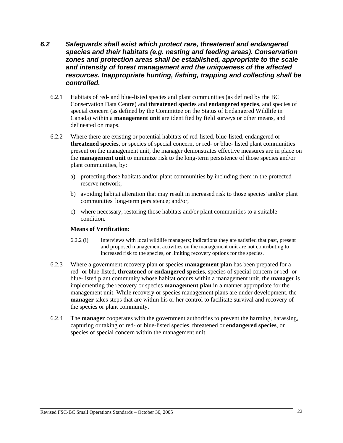# *6.2 Safeguards shall exist which protect rare, threatened and endangered species and their habitats (e.g. nesting and feeding areas). Conservation zones and protection areas shall be established, appropriate to the scale and intensity of forest management and the uniqueness of the affected resources. Inappropriate hunting, fishing, trapping and collecting shall be controlled.*

- 6.2.1 Habitats of red- and blue-listed species and plant communities (as defined by the BC Conservation Data Centre) and **threatened species** and **endangered species**, and species of special concern (as defined by the Committee on the Status of Endangered Wildlife in Canada) within a **management unit** are identified by field surveys or other means, and delineated on maps.
- 6.2.2 Where there are existing or potential habitats of red-listed, blue-listed, endangered or **threatened species**, or species of special concern, or red- or blue- listed plant communities present on the management unit, the manager demonstrates effective measures are in place on the **management unit** to minimize risk to the long-term persistence of those species and/or plant communities, by:
	- a) protecting those habitats and/or plant communities by including them in the protected reserve network;
	- b) avoiding habitat alteration that may result in increased risk to those species' and/or plant communities' long-term persistence; and/or,
	- c) where necessary, restoring those habitats and/or plant communities to a suitable condition.

#### **Means of Verification:**

- 6.2.2 (i) Interviews with local wildlife managers; indications they are satisfied that past, present and proposed management activities on the management unit are not contributing to increased risk to the species, or limiting recovery options for the species.
- 6.2.3 Where a government recovery plan or species **management plan** has been prepared for a red- or blue-listed, **threatened** or **endangered species**, species of special concern or red- or blue-listed plant community whose habitat occurs within a management unit, the **manager** is implementing the recovery or species **management plan** in a manner appropriate for the management unit. While recovery or species management plans are under development, the **manager** takes steps that are within his or her control to facilitate survival and recovery of the species or plant community.
- 6.2.4 The **manager** cooperates with the government authorities to prevent the harming, harassing, capturing or taking of red- or blue-listed species, threatened or **endangered species**, or species of special concern within the management unit.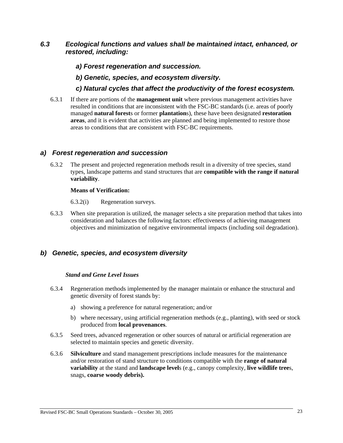# *6.3 Ecological functions and values shall be maintained intact, enhanced, or restored, including:*

- *a) Forest regeneration and succession.*
- *b) Genetic, species, and ecosystem diversity.*
- *c) Natural cycles that affect the productivity of the forest ecosystem.*
- 6.3.1 If there are portions of the **management unit** where previous management activities have resulted in conditions that are inconsistent with the FSC-BC standards (i.e. areas of poorly managed **natural forest**s or former **plantation**s), these have been designated **restoration areas**, and it is evident that activities are planned and being implemented to restore those areas to conditions that are consistent with FSC-BC requirements.

## *a) Forest regeneration and succession*

6.3.2 The present and projected regeneration methods result in a diversity of tree species, stand types, landscape patterns and stand structures that are **compatible with the range if natural variability**.

#### **Means of Verification:**

6.3.2(i) Regeneration surveys.

6.3.3 When site preparation is utilized, the manager selects a site preparation method that takes into consideration and balances the following factors: effectiveness of achieving management objectives and minimization of negative environmental impacts (including soil degradation).

# *b) Genetic, species, and ecosystem diversity*

#### *Stand and Gene Level Issues*

- 6.3.4 Regeneration methods implemented by the manager maintain or enhance the structural and genetic diversity of forest stands by:
	- a) showing a preference for natural regeneration; and/or
	- b) where necessary, using artificial regeneration methods (e.g., planting), with seed or stock produced from **local provenances**.
- 6.3.5 Seed trees, advanced regeneration or other sources of natural or artificial regeneration are selected to maintain species and genetic diversity.
- 6.3.6 **Silviculture** and stand management prescriptions include measures for the maintenance and/or restoration of stand structure to conditions compatible with the **range of natural variability** at the stand and **landscape level**s (e.g., canopy complexity, **live wildlife tree**s, snags, **coarse woody debris).**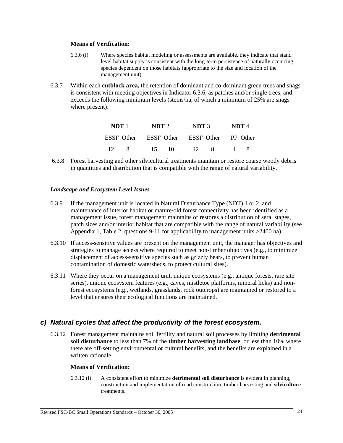#### **Means of Verification:**

- 6.3.6 (i) Where species habitat modeling or assessments are available, they indicate that stand level habitat supply is consistent with the long-term persistence of naturally occurring species dependent on those habitats (appropriate to the size and location of the management unit).
- 6.3.7 Within each **cutblock area,** the retention of dominant and co-dominant green trees and snags is consistent with meeting objectives in Indicator 6.3.6, as patches and/or single trees, and exceeds the following minimum levels (stems/ha, of which a minimum of 25% are snags where present):

|                 | NDT 1          | NDT2 |       | NDT 3                                     |      | NDT 4 |  |
|-----------------|----------------|------|-------|-------------------------------------------|------|-------|--|
|                 |                |      |       | ESSE Other ESSE Other ESSE Other PP Other |      |       |  |
| $\overline{12}$ | 8 <sup>2</sup> | 15.  | -10 - |                                           | 12 8 |       |  |

 6.3.8 Forest harvesting and other silvicultural treatments maintain or restore coarse woody debris in quantities and distribution that is compatible with the range of natural variability.

### *Landscape and Ecosystem Level Issues*

- 6.3.9 If the management unit is located in Natural Disturbance Type (NDT) 1 or 2, and maintenance of interior habitat or mature/old forest connectivity has been identified as a management issue, forest management maintains or restores a distribution of seral stages, patch sizes and/or interior habitat that are compatible with the range of natural variability (see Appendix 1, Table 2, questions 9-11 for applicability to management units >2400 ha).
- 6.3.10 If access-sensitive values are present on the management unit, the manager has objectives and strategies to manage access where required to meet non-timber objectives (e.g., to minimize displacement of access-sensitive species such as grizzly bears, to prevent human contamination of domestic watersheds, to protect cultural sites).
- 6.3.11 Where they occur on a management unit, unique ecosystems (e.g., antique forests, rare site series), unique ecosystem features (e.g., caves, mistletoe platforms, mineral licks) and nonforest ecosystems (e.g., wetlands, grasslands, rock outcrops) are maintained or restored to a level that ensures their ecological functions are maintained.

# *c) Natural cycles that affect the productivity of the forest ecosystem.*

6.3.12 Forest management maintains soil fertility and natural soil processes by limiting **detrimental soil disturbance** to less than 7% of the **timber harvesting landbase**; or less than 10% where there are off-setting environmental or cultural benefits, and the benefits are explained in a written rationale.

#### **Means of Verification:**

6.3.12 (i) A consistent effort to minimize **detrimental soil disturbance** is evident in planning, construction and implementation of road construction, timber harvesting and **silviculture** treatments.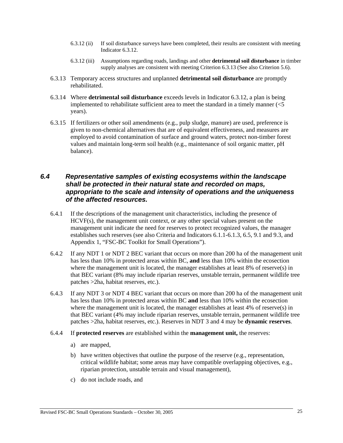- 6.3.12 (ii) If soil disturbance surveys have been completed, their results are consistent with meeting Indicator 6.3.12.
- 6.3.12 (iii) Assumptions regarding roads, landings and other **detrimental soil disturbance** in timber supply analyses are consistent with meeting Criterion 6.3.13 (See also Criterion 5.6).
- 6.3.13 Temporary access structures and unplanned **detrimental soil disturbance** are promptly rehabilitated.
- 6.3.14 Where **detrimental soil disturbance** exceeds levels in Indicator 6.3.12, a plan is being implemented to rehabilitate sufficient area to meet the standard in a timely manner  $\ll 5$ years).
- 6.3.15 If fertilizers or other soil amendments (e.g., pulp sludge, manure) are used, preference is given to non-chemical alternatives that are of equivalent effectiveness, and measures are employed to avoid contamination of surface and ground waters, protect non-timber forest values and maintain long-term soil health (e.g., maintenance of soil organic matter, pH balance).

# *6.4 Representative samples of existing ecosystems within the landscape shall be protected in their natural state and recorded on maps, appropriate to the scale and intensity of operations and the uniqueness of the affected resources.*

- 6.4.1 If the descriptions of the management unit characteristics, including the presence of HCVF(s), the management unit context, or any other special values present on the management unit indicate the need for reserves to protect recognized values, the manager establishes such reserves (see also Criteria and Indicators 6.1.1-6.1.3, 6.5, 9.1 and 9.3, and Appendix 1, "FSC-BC Toolkit for Small Operations").
- 6.4.2 If any NDT 1 or NDT 2 BEC variant that occurs on more than 200 ha of the management unit has less than 10% in protected areas within BC, **and** less than 10% within the ecosection where the management unit is located, the manager establishes at least 8% of reserve(s) in that BEC variant (8% may include riparian reserves, unstable terrain, permanent wildlife tree patches >2ha, habitat reserves, etc.).
- 6.4.3 If any NDT 3 or NDT 4 BEC variant that occurs on more than 200 ha of the management unit has less than 10% in protected areas within BC **and** less than 10% within the ecosection where the management unit is located, the manager establishes at least 4% of reserve(s) in that BEC variant (4% may include riparian reserves, unstable terrain, permanent wildlife tree patches >2ha, habitat reserves, etc.). Reserves in NDT 3 and 4 may be **dynamic reserves**.
- 6.4.4 If **protected reserves** are established within the **management unit,** the reserves:
	- a) are mapped,
	- b) have written objectives that outline the purpose of the reserve (e.g., representation, critical wildlife habitat; some areas may have compatible overlapping objectives, e.g., riparian protection, unstable terrain and visual management),
	- c) do not include roads, and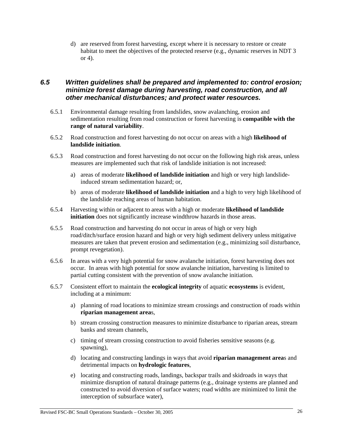d) are reserved from forest harvesting, except where it is necessary to restore or create habitat to meet the objectives of the protected reserve (e.g., dynamic reserves in NDT 3 or 4).

# *6.5 Written guidelines shall be prepared and implemented to: control erosion; minimize forest damage during harvesting, road construction, and all other mechanical disturbances; and protect water resources.*

- 6.5.1 Environmental damage resulting from landslides, snow avalanching, erosion and sedimentation resulting from road construction or forest harvesting is **compatible with the range of natural variability**.
- 6.5.2 Road construction and forest harvesting do not occur on areas with a high **likelihood of landslide initiation**.
- 6.5.3 Road construction and forest harvesting do not occur on the following high risk areas, unless measures are implemented such that risk of landslide initiation is not increased:
	- a) areas of moderate **likelihood of landslide initiation** and high or very high landslideinduced stream sedimentation hazard; or,
	- b) areas of moderate **likelihood of landslide initiation** and a high to very high likelihood of the landslide reaching areas of human habitation.
- 6.5.4 Harvesting within or adjacent to areas with a high or moderate **likelihood of landslide initiation** does not significantly increase windthrow hazards in those areas.
- 6.5.5 Road construction and harvesting do not occur in areas of high or very high road/ditch/surface erosion hazard and high or very high sediment delivery unless mitigative measures are taken that prevent erosion and sedimentation (e.g., minimizing soil disturbance, prompt revegetation).
- 6.5.6 In areas with a very high potential for snow avalanche initiation, forest harvesting does not occur. In areas with high potential for snow avalanche initiation, harvesting is limited to partial cutting consistent with the prevention of snow avalanche initiation.
- 6.5.7 Consistent effort to maintain the **ecological integrity** of aquatic **ecosystems** is evident, including at a minimum:
	- a) planning of road locations to minimize stream crossings and construction of roads within **riparian management area**s,
	- b) stream crossing construction measures to minimize disturbance to riparian areas, stream banks and stream channels,
	- c) timing of stream crossing construction to avoid fisheries sensitive seasons (e.g. spawning),
	- d) locating and constructing landings in ways that avoid **riparian management area**s and detrimental impacts on **hydrologic features**,
	- e) locating and constructing roads, landings, backspar trails and skidroads in ways that minimize disruption of natural drainage patterns (e.g., drainage systems are planned and constructed to avoid diversion of surface waters; road widths are minimized to limit the interception of subsurface water),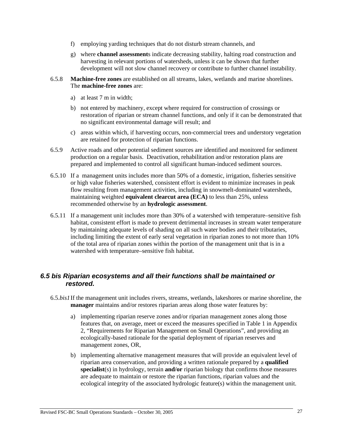- f) employing yarding techniques that do not disturb stream channels, and
- g) where **channel assessment**s indicate decreasing stability, halting road construction and harvesting in relevant portions of watersheds, unless it can be shown that further development will not slow channel recovery or contribute to further channel instability.
- 6.5.8 **Machine-free zones** are established on all streams, lakes, wetlands and marine shorelines. The **machine-free zones** are:
	- a) at least 7 m in width;
	- b) not entered by machinery, except where required for construction of crossings or restoration of riparian or stream channel functions, and only if it can be demonstrated that no significant environmental damage will result; and
	- c) areas within which, if harvesting occurs, non-commercial trees and understory vegetation are retained for protection of riparian functions.
- 6.5.9 Active roads and other potential sediment sources are identified and monitored for sediment production on a regular basis. Deactivation, rehabilitation and/or restoration plans are prepared and implemented to control all significant human-induced sediment sources.
- 6.5.10 If a management units includes more than 50% of a domestic, irrigation, fisheries sensitive or high value fisheries watershed, consistent effort is evident to minimize increases in peak flow resulting from management activities, including in snowmelt-dominated watersheds, maintaining weighted **equivalent clearcut area (ECA)** to less than 25%, unless recommended otherwise by an **hydrologic assessment**.
- 6.5.11 If a management unit includes more than 30% of a watershed with temperature–sensitive fish habitat, consistent effort is made to prevent detrimental increases in stream water temperature by maintaining adequate levels of shading on all such water bodies and their tributaries, including limiting the extent of early seral vegetation in riparian zones to not more than 10% of the total area of riparian zones within the portion of the management unit that is in a watershed with temperature–sensitive fish habitat.

# *6.5 bis Riparian ecosystems and all their functions shall be maintained or restored.*

- 6.5.*bis1* If the management unit includes rivers, streams, wetlands, lakeshores or marine shoreline, the **manager** maintains and/or restores riparian areas along those water features by:
	- a) implementing riparian reserve zones and/or riparian management zones along those features that, on average, meet or exceed the measures specified in Table 1 in Appendix 2, "Requirements for Riparian Management on Small Operations", and providing an ecologically-based rationale for the spatial deployment of riparian reserves and management zones, OR,
	- b) implementing alternative management measures that will provide an equivalent level of riparian area conservation, and providing a written rationale prepared by a **qualified specialist**(s) in hydrology, terrain **and/or** riparian biology that confirms those measures are adequate to maintain or restore the riparian functions, riparian values and the ecological integrity of the associated hydrologic feature(s) within the management unit.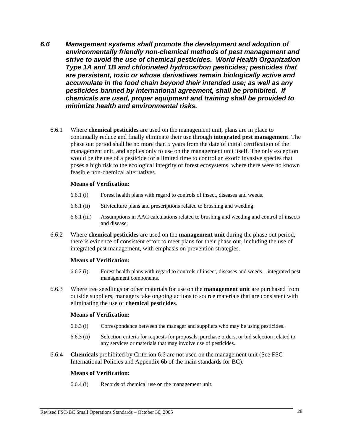- *6.6 Management systems shall promote the development and adoption of environmentally friendly non-chemical methods of pest management and strive to avoid the use of chemical pesticides. World Health Organization Type 1A and 1B and chlorinated hydrocarbon pesticides; pesticides that are persistent, toxic or whose derivatives remain biologically active and accumulate in the food chain beyond their intended use; as well as any pesticides banned by international agreement, shall be prohibited. If chemicals are used, proper equipment and training shall be provided to minimize health and environmental risks.* 
	- 6.6.1 Where **chemical pesticides** are used on the management unit, plans are in place to continually reduce and finally eliminate their use through **integrated pest management**. The phase out period shall be no more than 5 years from the date of initial certification of the management unit, and applies only to use on the management unit itself. The only exception would be the use of a pesticide for a limited time to control an exotic invasive species that poses a high risk to the ecological integrity of forest ecosystems, where there were no known feasible non-chemical alternatives.

#### **Means of Verification:**

- 6.6.1 (i) Forest health plans with regard to controls of insect, diseases and weeds.
- 6.6.1 (ii) Silviculture plans and prescriptions related to brushing and weeding.
- 6.6.1 (iii) Assumptions in AAC calculations related to brushing and weeding and control of insects and disease.
- 6.6.2 Where **chemical pesticides** are used on the **management unit** during the phase out period, there is evidence of consistent effort to meet plans for their phase out, including the use of integrated pest management, with emphasis on prevention strategies.

#### **Means of Verification:**

- 6.6.2 (i) Forest health plans with regard to controls of insect, diseases and weeds integrated pest management components.
- 6.6.3 Where tree seedlings or other materials for use on the **management unit** are purchased from outside suppliers, managers take ongoing actions to source materials that are consistent with eliminating the use of **chemical pesticides**.

#### **Means of Verification:**

- 6.6.3 (i) Correspondence between the manager and suppliers who may be using pesticides.
- 6.6.3 (ii) Selection criteria for requests for proposals, purchase orders, or bid selection related to any services or materials that may involve use of pesticides.
- 6.6.4 **Chemicals** prohibited by Criterion 6.6 are not used on the management unit (See FSC International Policies and Appendix 6b of the main standards for BC).

#### **Means of Verification:**

6.6.4 (i) Records of chemical use on the management unit.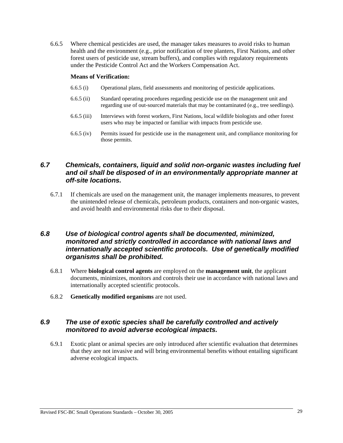6.6.5 Where chemical pesticides are used, the manager takes measures to avoid risks to human health and the environment (e.g., prior notification of tree planters, First Nations, and other forest users of pesticide use, stream buffers), and complies with regulatory requirements under the Pesticide Control Act and the Workers Compensation Act.

#### **Means of Verification:**

- 6.6.5 (i) Operational plans, field assessments and monitoring of pesticide applications.
- 6.6.5 (ii) Standard operating procedures regarding pesticide use on the management unit and regarding use of out-sourced materials that may be contaminated (e.g., tree seedlings).
- 6.6.5 (iii) Interviews with forest workers, First Nations, local wildlife biologists and other forest users who may be impacted or familiar with impacts from pesticide use.
- 6.6.5 (iv) Permits issued for pesticide use in the management unit, and compliance monitoring for those permits.

# *6.7 Chemicals, containers, liquid and solid non-organic wastes including fuel and oil shall be disposed of in an environmentally appropriate manner at off-site locations.*

6.7.1 If chemicals are used on the management unit, the manager implements measures, to prevent the unintended release of chemicals, petroleum products, containers and non-organic wastes, and avoid health and environmental risks due to their disposal.

# *6.8 Use of biological control agents shall be documented, minimized, monitored and strictly controlled in accordance with national laws and internationally accepted scientific protocols. Use of genetically modified organisms shall be prohibited.*

- 6.8.1 Where **biological control agents** are employed on the **management unit**, the applicant documents, minimizes, monitors and controls their use in accordance with national laws and internationally accepted scientific protocols.
- 6.8.2 **Genetically modified organisms** are not used.

# *6.9 The use of exotic species shall be carefully controlled and actively monitored to avoid adverse ecological impacts.*

6.9.1 Exotic plant or animal species are only introduced after scientific evaluation that determines that they are not invasive and will bring environmental benefits without entailing significant adverse ecological impacts.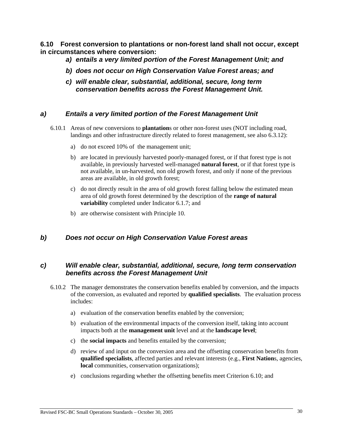**6.10 Forest conversion to plantations or non-forest land shall not occur, except in circumstances where conversion:** 

- *a) entails a very limited portion of the Forest Management Unit; and*
- *b) does not occur on High Conservation Value Forest areas; and*
- *c) will enable clear, substantial, additional, secure, long term conservation benefits across the Forest Management Unit.*

## *a) Entails a very limited portion of the Forest Management Unit*

- 6.10.1 Areas of new conversions to **plantation**s or other non-forest uses (NOT including road, landings and other infrastructure directly related to forest management, see also 6.3.12):
	- a) do not exceed 10% of the management unit;
	- b) are located in previously harvested poorly-managed forest, or if that forest type is not available, in previously harvested well-managed **natural forest**, or if that forest type is not available, in un-harvested, non old growth forest, and only if none of the previous areas are available, in old growth forest;
	- c) do not directly result in the area of old growth forest falling below the estimated mean area of old growth forest determined by the description of the **range of natural variability** completed under Indicator 6.1.7; and
	- b) are otherwise consistent with Principle 10.

# *b) Does not occur on High Conservation Value Forest areas*

## *c) Will enable clear, substantial, additional, secure, long term conservation benefits across the Forest Management Unit*

- 6.10.2 The manager demonstrates the conservation benefits enabled by conversion, and the impacts of the conversion, as evaluated and reported by **qualified specialists**. The evaluation process includes:
	- a) evaluation of the conservation benefits enabled by the conversion;
	- b) evaluation of the environmental impacts of the conversion itself, taking into account impacts both at the **management unit** level and at the **landscape level**;
	- c) the **social impacts** and benefits entailed by the conversion;
	- d) review of and input on the conversion area and the offsetting conservation benefits from **qualified specialists**, affected parties and relevant interests (e.g., **First Nation**s, agencies, **local** communities, conservation organizations);
	- e) conclusions regarding whether the offsetting benefits meet Criterion 6.10; and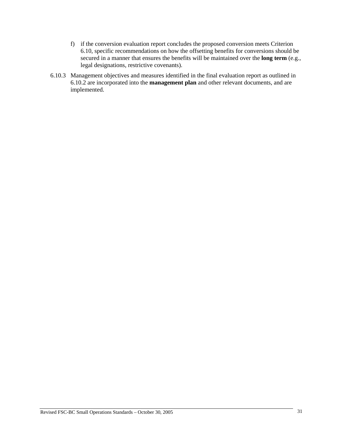- f) if the conversion evaluation report concludes the proposed conversion meets Criterion 6.10, specific recommendations on how the offsetting benefits for conversions should be secured in a manner that ensures the benefits will be maintained over the **long term** (e.g., legal designations, restrictive covenants).
- 6.10.3 Management objectives and measures identified in the final evaluation report as outlined in 6.10.2 are incorporated into the **management plan** and other relevant documents, and are implemented.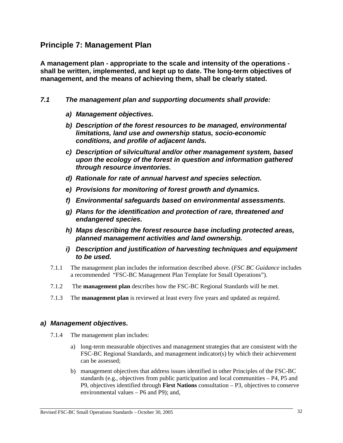# **Principle 7: Management Plan**

**A management plan - appropriate to the scale and intensity of the operations shall be written, implemented, and kept up to date. The long-term objectives of management, and the means of achieving them, shall be clearly stated.** 

- *7.1 The management plan and supporting documents shall provide:* 
	- *a) Management objectives.*
	- *b) Description of the forest resources to be managed, environmental limitations, land use and ownership status, socio-economic conditions, and profile of adjacent lands.*
	- *c) Description of silvicultural and/or other management system, based upon the ecology of the forest in question and information gathered through resource inventories.*
	- *d) Rationale for rate of annual harvest and species selection.*
	- *e) Provisions for monitoring of forest growth and dynamics.*
	- *f) Environmental safeguards based on environmental assessments.*
	- *g) Plans for the identification and protection of rare, threatened and endangered species.*
	- *h) Maps describing the forest resource base including protected areas, planned management activities and land ownership.*
	- *i) Description and justification of harvesting techniques and equipment to be used.*
	- 7.1.1 The management plan includes the information described above. (*FSC BC Guidance* includes a recommended "FSC-BC Management Plan Template for Small Operations").
	- 7.1.2 The **management plan** describes how the FSC-BC Regional Standards will be met.
	- 7.1.3 The **management plan** is reviewed at least every five years and updated as required.

# *a) Management objectives.*

- 7.1.4 The management plan includes:
	- a) long-term measurable objectives and management strategies that are consistent with the FSC-BC Regional Standards, and management indicator(s) by which their achievement can be assessed;
	- b) management objectives that address issues identified in other Principles of the FSC-BC standards (e.g., objectives from public participation and local communities – P4, P5 and P9, objectives identified through **First Nations** consultation – P3, objectives to conserve environmental values – P6 and P9); and,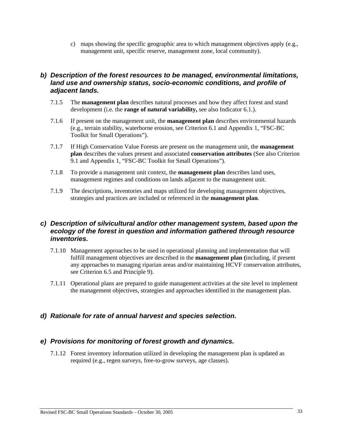c) maps showing the specific geographic area to which management objectives apply (e.g., management unit, specific reserve, management zone, local community).

# *b) Description of the forest resources to be managed, environmental limitations, land use and ownership status, socio-economic conditions, and profile of adjacent lands.*

- 7.1.5 The **management plan** describes natural processes and how they affect forest and stand development (i.e. the **range of natural variability,** see also Indicator 6.1.).
- 7.1.6 If present on the management unit, the **management plan** describes environmental hazards (e.g., terrain stability, waterborne erosion, see Criterion 6.1 and Appendix 1, "FSC-BC Toolkit for Small Operations").
- 7.1.7 If High Conservation Value Forests are present on the management unit, the **management plan** describes the values present and associated **conservation attributes** (See also Criterion 9.1 and Appendix 1, "FSC-BC Toolkit for Small Operations").
- 7.1.8 To provide a management unit context, the **management plan** describes land uses, management regimes and conditions on lands adjacent to the management unit.
- 7.1.9 The descriptions, inventories and maps utilized for developing management objectives, strategies and practices are included or referenced in the **management plan**.

# *c) Description of silvicultural and/or other management system, based upon the ecology of the forest in question and information gathered through resource inventories.*

- 7.1.10 Management approaches to be used in operational planning and implementation that will fulfill management objectives are described in the **management plan (**including, if present any approaches to managing riparian areas and/or maintaining HCVF conservation attributes, see Criterion 6.5 and Principle 9).
- 7.1.11 Operational plans are prepared to guide management activities at the site level to implement the management objectives, strategies and approaches identified in the management plan.

# *d) Rationale for rate of annual harvest and species selection.*

# *e) Provisions for monitoring of forest growth and dynamics.*

7.1.12 Forest inventory information utilized in developing the management plan is updated as required (e.g., regen surveys, free-to-grow surveys, age classes).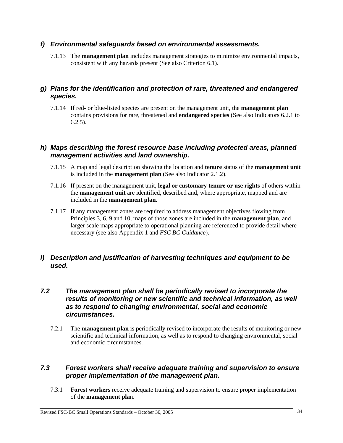# *f) Environmental safeguards based on environmental assessments.*

7.1.13 The **management plan** includes management strategies to minimize environmental impacts, consistent with any hazards present (See also Criterion 6.1).

# *g) Plans for the identification and protection of rare, threatened and endangered species.*

7.1.14 If red- or blue-listed species are present on the management unit, the **management plan** contains provisions for rare, threatened and **endangered species** (See also Indicators 6.2.1 to 6.2.5).

# *h) Maps describing the forest resource base including protected areas, planned management activities and land ownership.*

- 7.1.15 A map and legal description showing the location and **tenure** status of the **management unit**  is included in the **management plan** (See also Indicator 2.1.2).
- 7.1.16 If present on the management unit, **legal or customary tenure or use rights** of others within the **management unit** are identified, described and, where appropriate, mapped and are included in the **management plan**.
- 7.1.17 If any management zones are required to address management objectives flowing from Principles 3, 6, 9 and 10, maps of those zones are included in the **management plan**, and larger scale maps appropriate to operational planning are referenced to provide detail where necessary (see also Appendix 1 and *FSC BC Guidance*).

# *i) Description and justification of harvesting techniques and equipment to be used.*

# *7.2 The management plan shall be periodically revised to incorporate the results of monitoring or new scientific and technical information, as well as to respond to changing environmental, social and economic circumstances.*

7.2.1 The **management plan** is periodically revised to incorporate the results of monitoring or new scientific and technical information, as well as to respond to changing environmental, social and economic circumstances.

# *7.3 Forest workers shall receive adequate training and supervision to ensure proper implementation of the management plan.*

7.3.1 **Forest workers** receive adequate training and supervision to ensure proper implementation of the **management pla**n.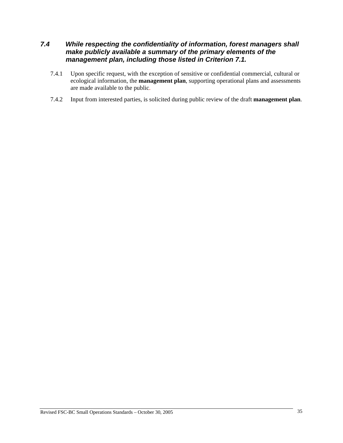# *7.4 While respecting the confidentiality of information, forest managers shall make publicly available a summary of the primary elements of the management plan, including those listed in Criterion 7.1.*

- 7.4.1 Upon specific request, with the exception of sensitive or confidential commercial, cultural or ecological information, the **management plan**, supporting operational plans and assessments are made available to the public.
- 7.4.2 Input from interested parties, is solicited during public review of the draft **management plan**.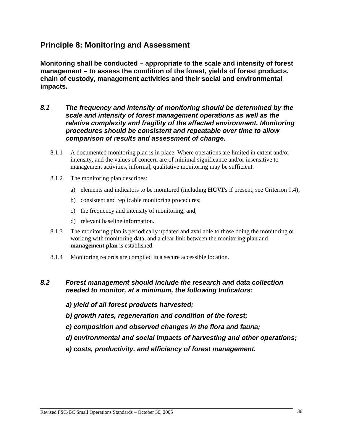# **Principle 8: Monitoring and Assessment**

**Monitoring shall be conducted – appropriate to the scale and intensity of forest management – to assess the condition of the forest, yields of forest products, chain of custody, management activities and their social and environmental impacts.** 

- *8.1 The frequency and intensity of monitoring should be determined by the scale and intensity of forest management operations as well as the relative complexity and fragility of the affected environment. Monitoring procedures should be consistent and repeatable over time to allow comparison of results and assessment of change.* 
	- 8.1.1 A documented monitoring plan is in place. Where operations are limited in extent and/or intensity, and the values of concern are of minimal significance and/or insensitive to management activities, informal, qualitative monitoring may be sufficient.
	- 8.1.2 The monitoring plan describes:
		- a) elements and indicators to be monitored (including **HCVF**s if present, see Criterion 9.4);
		- b) consistent and replicable monitoring procedures;
		- c) the frequency and intensity of monitoring, and,
		- d) relevant baseline information.
	- 8.1.3 The monitoring plan is periodically updated and available to those doing the monitoring or working with monitoring data, and a clear link between the monitoring plan and **management plan** is established.
	- 8.1.4 Monitoring records are compiled in a secure accessible location.

# *8.2 Forest management should include the research and data collection needed to monitor, at a minimum, the following Indicators:*

- *a) yield of all forest products harvested;*
- *b) growth rates, regeneration and condition of the forest;*
- *c) composition and observed changes in the flora and fauna;*
- *d) environmental and social impacts of harvesting and other operations;*
- *e) costs, productivity, and efficiency of forest management.*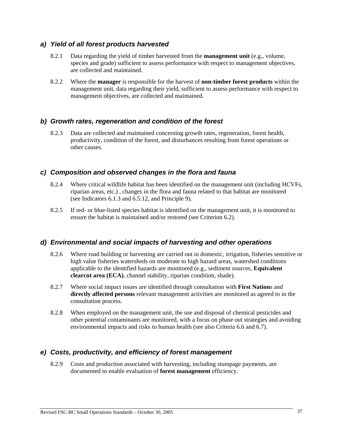# *a) Yield of all forest products harvested*

- 8.2.1 Data regarding the yield of timber harvested from the **management unit** (e.g., volume, species and grade) sufficient to assess performance with respect to management objectives, are collected and maintained.
- 8.2.2 Where the **manager** is responsible for the harvest of **non-timber forest products** within the management unit, data regarding their yield, sufficient to assess performance with respect to management objectives, are collected and maintained.

# *b) Growth rates, regeneration and condition of the forest*

8.2.3 Data are collected and maintained concerning growth rates, regeneration, forest health, productivity, condition of the forest, and disturbances resulting from forest operations or other causes.

# *c) Composition and observed changes in the flora and fauna*

- 8.2.4 Where critical wildlife habitat has been identified on the management unit (including HCVFs, riparian areas, etc.) , changes in the flora and fauna related to that habitat are monitored (see Indicators 6.1.3 and 6.5.12, and Principle 9).
- 8.2.5 If red- or blue-listed species habitat is identified on the management unit, it is monitored to ensure the habitat is maintained and/or restored (see Criterion 6.2).

# *d) Environmental and social impacts of harvesting and other operations*

- 8.2.6 Where road building or harvesting are carried out in domestic, irrigation, fisheries sensitive or high value fisheries watersheds on moderate to high hazard areas, watershed conditions applicable to the identified hazards are monitored (e.g., sediment sources, **Equivalent clearcut area (ECA)**, channel stability, riparian condition, shade).
- 8.2.7 Where social impact issues are identified through consultation with **First Nation**s and **directly affected persons** relevant management activities are monitored as agreed to in the consultation process.
- 8.2.8 When employed on the management unit, the use and disposal of chemical pesticides and other potential contaminants are monitored, with a focus on phase out strategies and avoiding environmental impacts and risks to human health (see also Criteria 6.6 and 6.7).

# *e) Costs, productivity, and efficiency of forest management*

8.2.9 Costs and production associated with harvesting, including stumpage payments, are documented to enable evaluation of **forest management** efficiency.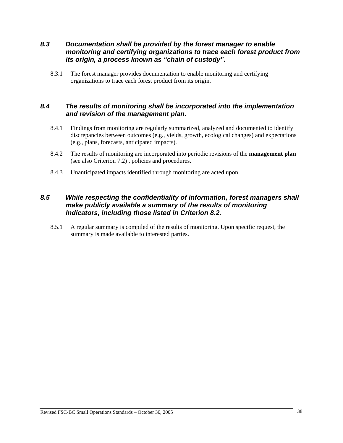# *8.3 Documentation shall be provided by the forest manager to enable monitoring and certifying organizations to trace each forest product from its origin, a process known as "chain of custody".*

8.3.1 The forest manager provides documentation to enable monitoring and certifying organizations to trace each forest product from its origin.

# *8.4 The results of monitoring shall be incorporated into the implementation and revision of the management plan.*

- 8.4.1 Findings from monitoring are regularly summarized, analyzed and documented to identify discrepancies between outcomes (e.g., yields, growth, ecological changes) and expectations (e.g., plans, forecasts, anticipated impacts).
- 8.4.2 The results of monitoring are incorporated into periodic revisions of the **management plan**  (see also Criterion 7.2) , policies and procedures.
- 8.4.3 Unanticipated impacts identified through monitoring are acted upon.

# *8.5 While respecting the confidentiality of information, forest managers shall make publicly available a summary of the results of monitoring Indicators, including those listed in Criterion 8.2.*

8.5.1 A regular summary is compiled of the results of monitoring. Upon specific request, the summary is made available to interested parties.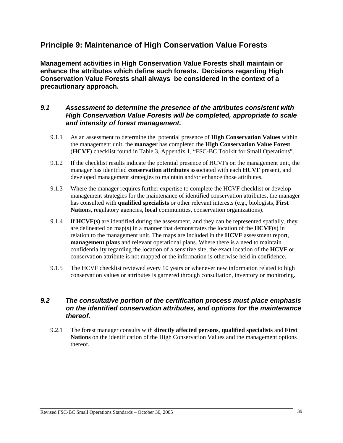# **Principle 9: Maintenance of High Conservation Value Forests**

**Management activities in High Conservation Value Forests shall maintain or enhance the attributes which define such forests. Decisions regarding High Conservation Value Forests shall always be considered in the context of a precautionary approach.** 

# *9.1 Assessment to determine the presence of the attributes consistent with High Conservation Value Forests will be completed, appropriate to scale and intensity of forest management.*

- 9.1.1 As an assessment to determine the potential presence of **High Conservation Values** within the management unit, the **manager** has completed the **High Conservation Value Forest** (**HCVF**) checklist found in Table 3, Appendix 1, "FSC-BC Toolkit for Small Operations".
- 9.1.2 If the checklist results indicate the potential presence of HCVFs on the management unit, the manager has identified **conservation attributes** associated with each **HCVF** present, and developed management strategies to maintain and/or enhance those attributes.
- 9.1.3 Where the manager requires further expertise to complete the HCVF checklist or develop management strategies for the maintenance of identified conservation attributes, the manager has consulted with **qualified specialists** or other relevant interests (e.g., biologists, **First Nation**s, regulatory agencies, **local** communities, conservation organizations).
- 9.1.4 If **HCVF(s)** are identified during the assessment, and they can be represented spatially, they are delineated on map(s) in a manner that demonstrates the location of the  $HCVF(s)$  in relation to the management unit. The maps are included in the **HCVF** assessment report, **management plan**s and relevant operational plans. Where there is a need to maintain confidentiality regarding the location of a sensitive site, the exact location of the **HCVF** or conservation attribute is not mapped or the information is otherwise held in confidence.
- 9.1.5 The HCVF checklist reviewed every 10 years or whenever new information related to high conservation values or attributes is garnered through consultation, inventory or monitoring.

# *9.2 The consultative portion of the certification process must place emphasis on the identified conservation attributes, and options for the maintenance thereof.*

9.2.1 The forest manager consults with **directly affected persons**, **qualified specialists** and **First Nations** on the identification of the High Conservation Values and the management options thereof.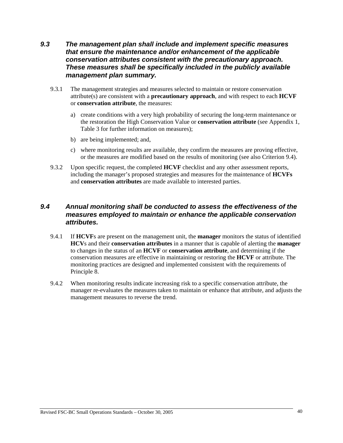# *9.3 The management plan shall include and implement specific measures that ensure the maintenance and/or enhancement of the applicable conservation attributes consistent with the precautionary approach. These measures shall be specifically included in the publicly available management plan summary.*

- 9.3.1 The management strategies and measures selected to maintain or restore conservation attribute(s) are consistent with a **precautionary approach**, and with respect to each **HCVF** or **conservation attribute**, the measures:
	- a) create conditions with a very high probability of securing the long-term maintenance or the restoration the High Conservation Value or **conservation attribute** (see Appendix 1, Table 3 for further information on measures);
	- b) are being implemented; and,
	- c) where monitoring results are available, they confirm the measures are proving effective, or the measures are modified based on the results of monitoring (see also Criterion 9.4).
- 9.3.2 Upon specific request, the completed **HCVF** checklist and any other assessment reports, including the manager's proposed strategies and measures for the maintenance of **HCVFs** and **conservation attributes** are made available to interested parties.

# *9.4 Annual monitoring shall be conducted to assess the effectiveness of the measures employed to maintain or enhance the applicable conservation attributes.*

- 9.4.1 If **HCVF**s are present on the management unit, the **manager** monitors the status of identified **HCV**s and their **conservation attributes** in a manner that is capable of alerting the **manager** to changes in the status of an **HCVF** or **conservation attribute**, and determining if the conservation measures are effective in maintaining or restoring the **HCVF** or attribute. The monitoring practices are designed and implemented consistent with the requirements of Principle 8.
- 9.4.2 When monitoring results indicate increasing risk to a specific conservation attribute, the manager re-evaluates the measures taken to maintain or enhance that attribute, and adjusts the management measures to reverse the trend.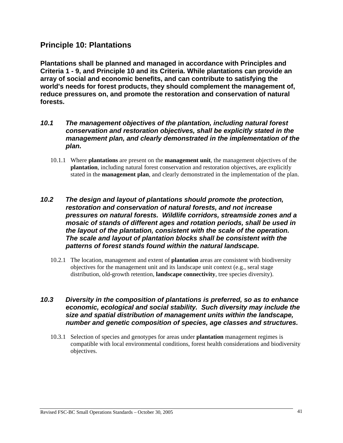# **Principle 10: Plantations**

**Plantations shall be planned and managed in accordance with Principles and Criteria 1 - 9, and Principle 10 and its Criteria. While plantations can provide an array of social and economic benefits, and can contribute to satisfying the world's needs for forest products, they should complement the management of, reduce pressures on, and promote the restoration and conservation of natural forests.** 

- *10.1 The management objectives of the plantation, including natural forest conservation and restoration objectives, shall be explicitly stated in the management plan, and clearly demonstrated in the implementation of the plan.* 
	- 10.1.1 Where **plantations** are present on the **management unit**, the management objectives of the **plantation**, including natural forest conservation and restoration objectives, are explicitly stated in the **management plan**, and clearly demonstrated in the implementation of the plan.
- *10.2 The design and layout of plantations should promote the protection, restoration and conservation of natural forests, and not increase pressures on natural forests. Wildlife corridors, streamside zones and a mosaic of stands of different ages and rotation periods, shall be used in the layout of the plantation, consistent with the scale of the operation. The scale and layout of plantation blocks shall be consistent with the patterns of forest stands found within the natural landscape.* 
	- 10.2.1 The location, management and extent of **plantation** areas are consistent with biodiversity objectives for the management unit and its landscape unit context (e.g., seral stage distribution, old-growth retention, **landscape connectivity**, tree species diversity).

# *10.3 Diversity in the composition of plantations is preferred, so as to enhance economic, ecological and social stability. Such diversity may include the size and spatial distribution of management units within the landscape, number and genetic composition of species, age classes and structures.*

10.3.1 Selection of species and genotypes for areas under **plantation** management regimes is compatible with local environmental conditions, forest health considerations and biodiversity objectives.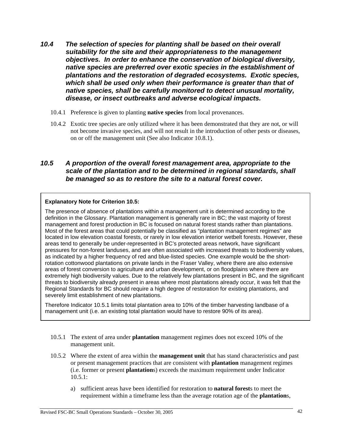- *10.4 The selection of species for planting shall be based on their overall suitability for the site and their appropriateness to the management objectives. In order to enhance the conservation of biological diversity, native species are preferred over exotic species in the establishment of plantations and the restoration of degraded ecosystems. Exotic species, which shall be used only when their performance is greater than that of native species, shall be carefully monitored to detect unusual mortality, disease, or insect outbreaks and adverse ecological impacts.* 
	- 10.4.1 Preference is given to planting **native species** from local provenances.
	- 10.4.2 Exotic tree species are only utilized where it has been demonstrated that they are not, or will not become invasive species, and will not result in the introduction of other pests or diseases, on or off the management unit (See also Indicator 10.8.1).

# *10.5 A proportion of the overall forest management area, appropriate to the scale of the plantation and to be determined in regional standards, shall be managed so as to restore the site to a natural forest cover.*

## **Explanatory Note for Criterion 10.5:**

The presence of absence of plantations within a management unit is determined according to the definition in the Glossary. Plantation management is generally rare in BC; the vast majority of forest management and forest production in BC is focused on natural forest stands rather than plantations. Most of the forest areas that could potentially be classified as "plantation management regimes" are located in low elevation coastal forests, or rarely in low elevation interior wetbelt forests. However, these areas tend to generally be under-represented in BC's protected areas network, have significant pressures for non-forest landuses, and are often associated with increased threats to biodiversity values, as indicated by a higher frequency of red and blue-listed species. One example would be the shortrotation cottonwood plantations on private lands in the Fraser Valley, where there are also extensive areas of forest conversion to agriculture and urban development, or on floodplains where there are extremely high biodiversity values. Due to the relatively few plantations present in BC, and the significant threats to biodiversity already present in areas where most plantations already occur, it was felt that the Regional Standards for BC should require a high degree of restoration for existing plantations, and severely limit establishment of new plantations.

Therefore Indicator 10.5.1 limits total plantation area to 10% of the timber harvesting landbase of a management unit (i.e. an existing total plantation would have to restore 90% of its area).

- 10.5.1 The extent of area under **plantation** management regimes does not exceed 10% of the management unit.
- 10.5.2 Where the extent of area within the **management unit** that has stand characteristics and past or present management practices that are consistent with **plantation** management regimes (i.e. former or present **plantation**s) exceeds the maximum requirement under Indicator 10.5.1:
	- a) sufficient areas have been identified for restoration to **natural forest**s to meet the requirement within a timeframe less than the average rotation age of the **plantation**s,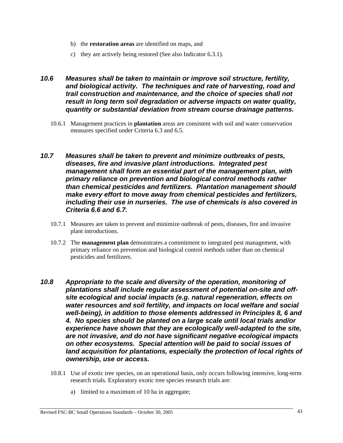- b) the **restoration areas** are identified on maps, and
- c) they are actively being restored (See also Indicator 6.3.1).
- *10.6 Measures shall be taken to maintain or improve soil structure, fertility, and biological activity. The techniques and rate of harvesting, road and trail construction and maintenance, and the choice of species shall not result in long term soil degradation or adverse impacts on water quality, quantity or substantial deviation from stream course drainage patterns.* 
	- 10.6.1 Management practices in **plantation** areas are consistent with soil and water conservation measures specified under Criteria 6.3 and 6.5.
- *10.7 Measures shall be taken to prevent and minimize outbreaks of pests, diseases, fire and invasive plant introductions. Integrated pest management shall form an essential part of the management plan, with primary reliance on prevention and biological control methods rather than chemical pesticides and fertilizers. Plantation management should make every effort to move away from chemical pesticides and fertilizers, including their use in nurseries. The use of chemicals is also covered in Criteria 6.6 and 6.7.* 
	- 10.7.1 Measures are taken to prevent and minimize outbreak of pests, diseases, fire and invasive plant introductions.
	- 10.7.2 The **management plan** demonstrates a commitment to integrated pest management, with primary reliance on prevention and biological control methods rather than on chemical pesticides and fertilizers.
- *10.8 Appropriate to the scale and diversity of the operation, monitoring of plantations shall include regular assessment of potential on-site and offsite ecological and social impacts (e.g. natural regeneration, effects on water resources and soil fertility, and impacts on local welfare and social well-being), in addition to those elements addressed in Principles 8, 6 and 4. No species should be planted on a large scale until local trials and/or experience have shown that they are ecologically well-adapted to the site, are not invasive, and do not have significant negative ecological impacts on other ecosystems. Special attention will be paid to social issues of*  land acquisition for plantations, especially the protection of local rights of *ownership, use or access.* 
	- 10.8.1 Use of exotic tree species, on an operational basis, only occurs following intensive, long-term research trials. Exploratory exotic tree species research trials are:
		- a) limited to a maximum of 10 ha in aggregate;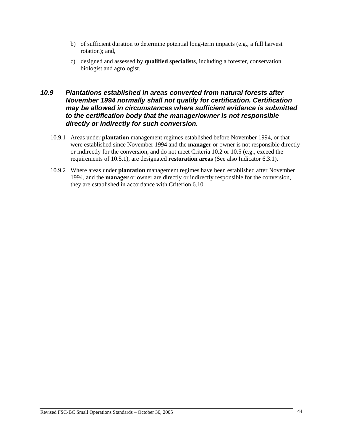- b) of sufficient duration to determine potential long-term impacts (e.g., a full harvest rotation); and,
- c) designed and assessed by **qualified specialists**, including a forester, conservation biologist and agrologist.

# *10.9 Plantations established in areas converted from natural forests after November 1994 normally shall not qualify for certification. Certification may be allowed in circumstances where sufficient evidence is submitted to the certification body that the manager/owner is not responsible directly or indirectly for such conversion.*

- 10.9.1 Areas under **plantation** management regimes established before November 1994, or that were established since November 1994 and the **manager** or owner is not responsible directly or indirectly for the conversion, and do not meet Criteria 10.2 or 10.5 (e.g., exceed the requirements of 10.5.1), are designated **restoration areas** (See also Indicator 6.3.1).
- 10.9.2 Where areas under **plantation** management regimes have been established after November 1994, and the **manager** or owner are directly or indirectly responsible for the conversion, they are established in accordance with Criterion 6.10.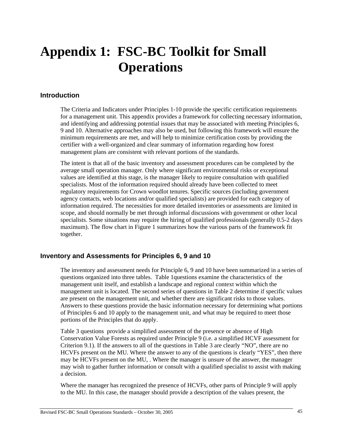# **Appendix 1: FSC-BC Toolkit for Small Operations**

## **Introduction**

The Criteria and Indicators under Principles 1-10 provide the specific certification requirements for a management unit. This appendix provides a framework for collecting necessary information, and identifying and addressing potential issues that may be associated with meeting Principles 6, 9 and 10. Alternative approaches may also be used, but following this framework will ensure the minimum requirements are met, and will help to minimize certification costs by providing the certifier with a well-organized and clear summary of information regarding how forest management plans are consistent with relevant portions of the standards.

The intent is that all of the basic inventory and assessment procedures can be completed by the average small operation manager. Only where significant environmental risks or exceptional values are identified at this stage, is the manager likely to require consultation with qualified specialists. Most of the information required should already have been collected to meet regulatory requirements for Crown woodlot tenures. Specific sources (including government agency contacts, web locations and/or qualified specialists) are provided for each category of information required. The necessities for more detailed inventories or assessments are limited in scope, and should normally be met through informal discussions with government or other local specialists. Some situations may require the hiring of qualified professionals (generally 0.5-2 days maximum). The flow chart in Figure 1 summarizes how the various parts of the framework fit together.

# **Inventory and Assessments for Principles 6, 9 and 10**

The inventory and assessment needs for Principle 6, 9 and 10 have been summarized in a series of questions organized into three tables. Table 1questions examine the characteristics of the management unit itself, and establish a landscape and regional context within which the management unit is located. The second series of questions in Table 2 determine if specific values are present on the management unit, and whether there are significant risks to those values. Answers to these questions provide the basic information necessary for determining what portions of Principles 6 and 10 apply to the management unit, and what may be required to meet those portions of the Principles that do apply.

Table 3 questions provide a simplified assessment of the presence or absence of High Conservation Value Forests as required under Principle 9 (i.e. a simplified HCVF assessment for Criterion 9.1). If the answers to all of the questions in Table 3 are clearly "NO", there are no HCVFs present on the MU. Where the answer to any of the questions is clearly "YES", then there may be HCVFs present on the MU, . Where the manager is unsure of the answer, the manager may wish to gather further information or consult with a qualified specialist to assist with making a decision.

Where the manager has recognized the presence of HCVFs, other parts of Principle 9 will apply to the MU. In this case, the manager should provide a description of the values present, the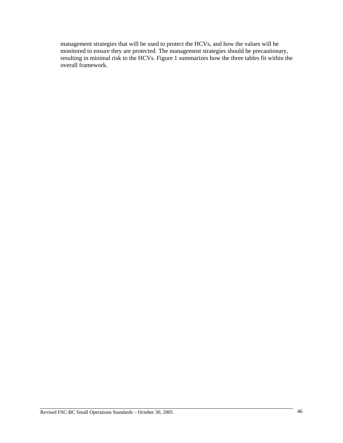management strategies that will be used to protect the HCVs, and how the values will be monitored to ensure they are protected. The management strategies should be precautionary, resulting in minimal risk to the HCVs. Figure 1 summarizes how the three tables fit within the overall framework.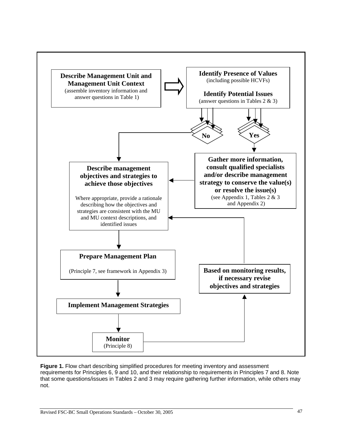

**Figure 1.** Flow chart describing simplified procedures for meeting inventory and assessment requirements for Principles 6, 9 and 10, and their relationship to requirements in Principles 7 and 8. Note that some questions/issues in Tables 2 and 3 may require gathering further information, while others may not.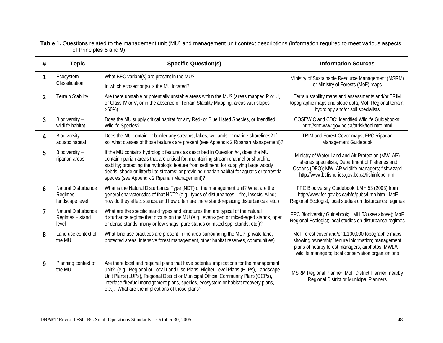| Table 1. Questions related to the management unit (MU) and management unit context descriptions (information required to meet various aspects |  |
|-----------------------------------------------------------------------------------------------------------------------------------------------|--|
| of Principles 6 and 9).                                                                                                                       |  |

| #              | <b>Topic</b>                                       | <b>Specific Question(s)</b>                                                                                                                                                                                                                                                                                                                                                                                            | <b>Information Sources</b>                                                                                                                                                                                          |
|----------------|----------------------------------------------------|------------------------------------------------------------------------------------------------------------------------------------------------------------------------------------------------------------------------------------------------------------------------------------------------------------------------------------------------------------------------------------------------------------------------|---------------------------------------------------------------------------------------------------------------------------------------------------------------------------------------------------------------------|
| 1              | Ecosystem<br>Classification                        | What BEC variant(s) are present in the MU?<br>In which ecosection(s) is the MU located?                                                                                                                                                                                                                                                                                                                                | Ministry of Sustainable Resource Management (MSRM)<br>or Ministry of Forests (MoF) maps                                                                                                                             |
| $\overline{2}$ | <b>Terrain Stability</b>                           | Are there unstable or potentially unstable areas within the MU? (areas mapped P or U,<br>or Class IV or V, or in the absence of Terrain Stability Mapping, areas with slopes<br>$>60\%)$                                                                                                                                                                                                                               | Terrain stability maps and assessments and/or TRIM<br>topographic maps and slope data; MoF Regional terrain,<br>hydrology and/or soil specialists                                                                   |
| 3              | Biodiversity-<br>wildlife habitat                  | Does the MU supply critical habitat for any Red- or Blue Listed Species, or Identified<br>Wildlife Species?                                                                                                                                                                                                                                                                                                            | COSEWIC and CDC; Identified Wildlife Guidebooks;<br>http://srmwww.gov.bc.ca/atrisk/toolintro.html                                                                                                                   |
| 4              | Biodiversity-<br>aquatic habitat                   | Does the MU contain or border any streams, lakes, wetlands or marine shorelines? If<br>so, what classes of those features are present (see Appendix 2 Riparian Management)?                                                                                                                                                                                                                                            | TRIM and Forest Cover maps; FPC Riparian<br>Management Guidebook                                                                                                                                                    |
| 5              | Biodiversity-<br>riparian areas                    | If the MU contains hydrologic features as described in Question #4, does the MU<br>contain riparian areas that are critical for: maintaining stream channel or shoreline<br>stability; protecting the hydrologic feature from sediment; for supplying large woody<br>debris, shade or litterfall to streams; or providing riparian habitat for aquatic or terrestrial<br>species (see Appendix 2 Riparian Management)? | Ministry of Water Land and Air Protection (MWLAP)<br>fisheries specialists; Department of Fisheries and<br>Oceans (DFO); MWLAP wildlife managers; fishwizard<br>http://www.bcfisheries.gov.bc.ca/fishinfobc.html    |
| 6              | Natural Disturbance<br>Regimes-<br>landscape level | What is the Natural Disturbance Type (NDT) of the management unit? What are the<br>general characteristics of that NDT? (e.g., types of disturbances - fire, insects, wind;<br>how do they affect stands, and how often are there stand-replacing disturbances, etc.)                                                                                                                                                  | FPC Biodiversity Guidebook; LMH 53 (2003) from<br>http://www.for.gov.bc.ca/hfd/pubs/Lmh.htm; MoF<br>Regional Ecologist; local studies on disturbance regimes                                                        |
| $\overline{1}$ | Natural Disturbance<br>Regimes - stand<br>level    | What are the specific stand types and structures that are typical of the natural<br>disturbance regime that occurs on the MU (e.g., even-aged or mixed-aged stands, open<br>or dense stands, many or few snags, pure stands or mixed spp. stands, etc.)?                                                                                                                                                               | FPC Biodiversity Guidebook; LMH 53 (see above); MoF<br>Regional Ecologist; local studies on disturbance regimes                                                                                                     |
| 8              | Land use context of<br>the MU                      | What land use practices are present in the area surrounding the MU? (private land,<br>protected areas, intensive forest management, other habitat reserves, communities)                                                                                                                                                                                                                                               | MoF forest cover and/or 1:100,000 topographic maps<br>showing ownership/ tenure information; management<br>plans of nearby forest managers; airphotos; MWLAP<br>wildlife managers; local conservation organizations |
| 9              | Planning context of<br>the MU                      | Are there local and regional plans that have potential implications for the management<br>unit? (e.g., Regional or Local Land Use Plans, Higher Level Plans (HLPs), Landscape<br>Unit Plans (LUPs), Regional District or Municipal Official Community Plans(OCPs),<br>interface fire/fuel management plans, species, ecosystem or habitat recovery plans,<br>etc.). What are the implications of those plans?          | MSRM Regional Planner; MoF District Planner; nearby<br>Regional District or Municipal Planners                                                                                                                      |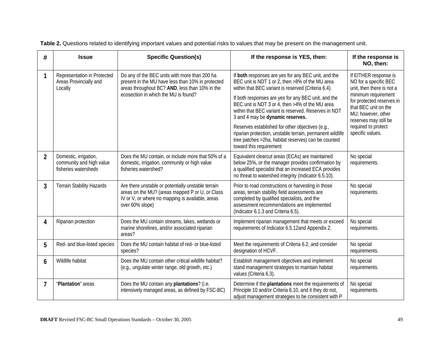| #              | <b>Issue</b>                                                              | <b>Specific Question(s)</b>                                                                                                                                                                  | If the response is YES, then:                                                                                                                                                                                                                                                                                                                                                                                                                                                                                                                                          | If the response is<br>NO, then:                                                                                                                                                                                                                   |
|----------------|---------------------------------------------------------------------------|----------------------------------------------------------------------------------------------------------------------------------------------------------------------------------------------|------------------------------------------------------------------------------------------------------------------------------------------------------------------------------------------------------------------------------------------------------------------------------------------------------------------------------------------------------------------------------------------------------------------------------------------------------------------------------------------------------------------------------------------------------------------------|---------------------------------------------------------------------------------------------------------------------------------------------------------------------------------------------------------------------------------------------------|
| 1              | Representation in Protected<br>Areas Provincially and<br>Locally          | Do any of the BEC units with more than 200 ha<br>present in the MU have less than 10% in protected<br>areas throughout BC? AND, less than 10% in the<br>ecosection in which the MU is found? | If both responses are yes for any BEC unit, and the<br>BEC unit is NDT 1 or 2, then >8% of the MU area<br>within that BEC variant is reserved (Criteria 6.4).<br>If both responses are yes for any BEC unit, and the<br>BEC unit is NDT 3 or 4, then >4% of the MU area<br>within that BEC variant is reserved. Reserves in NDT<br>3 and 4 may be dynamic reserves.<br>Reserves established for other objectives (e.g.,<br>riparian protection, unstable terrain, permanent wildlife<br>tree patches >2ha, habitat reserves) can be counted<br>toward this requirement | If EITHER response is<br>NO for a specific BEC<br>unit, then there is not a<br>minimum requirement<br>for protected reserves in<br>that BEC unit on the<br>MU; however, other<br>reserves may still be<br>required to protect<br>specific values. |
| $\overline{2}$ | Domestic, irrigation,<br>community and high value<br>fisheries watersheds | Does the MU contain, or include more that 50% of a<br>domestic, irrigation, community or high value<br>fisheries watershed?                                                                  | Equivalent clearcut areas (ECAs) are maintained<br>below 25%, or the manager provides confirmation by<br>a qualified specialist that an increased ECA provides<br>no threat to watershed integrity (Indicator 6.5.10).                                                                                                                                                                                                                                                                                                                                                 | No special<br>requirements.                                                                                                                                                                                                                       |
| 3              | Terrain Stability Hazards                                                 | Are there unstable or potentially unstable terrain<br>areas on the MU? (areas mapped P or U, or Class<br>IV or V, or where no mapping is available, areas<br>over 60% slope)                 | Prior to road constructions or harvesting in those<br>areas, terrain stability field assessments are<br>completed by qualified specialists, and the<br>assessment recommendations are implemented<br>(Indicator 6.1.3 and Criteria 6.5).                                                                                                                                                                                                                                                                                                                               | No special<br>requirements.                                                                                                                                                                                                                       |
| 4              | Riparian protection                                                       | Does the MU contain streams, lakes, wetlands or<br>marine shorelines, and/or associated riparian<br>areas?                                                                                   | Implement riparian management that meets or exceed<br>requirements of Indicator 6.5.12and Appendix 2.                                                                                                                                                                                                                                                                                                                                                                                                                                                                  | No special<br>requirements.                                                                                                                                                                                                                       |
| 5              | Red- and blue-listed species                                              | Does the MU contain habitat of red- or blue-listed<br>species?                                                                                                                               | Meet the requirements of Criteria 6.2, and consider<br>designation of HCVF.                                                                                                                                                                                                                                                                                                                                                                                                                                                                                            | No special<br>requirements.                                                                                                                                                                                                                       |
| 6              | Wildlife habitat                                                          | Does the MU contain other critical wildlife habitat?<br>(e.g., ungulate winter range, old growth, etc.)                                                                                      | Establish management objectives and implement<br>stand management strategies to maintain habitat<br>values (Criteria 6.3).                                                                                                                                                                                                                                                                                                                                                                                                                                             | No special<br>requirements.                                                                                                                                                                                                                       |
| 7              | "Plantation" areas                                                        | Does the MU contain any plantations? (i.e.<br>intensively managed areas, as defined by FSC-BC)                                                                                               | Determine if the plantations meet the requirements of<br>Principle 10 and/or Criteria 6.10, and it they do not,<br>adjust management strategies to be consistent with P                                                                                                                                                                                                                                                                                                                                                                                                | No special<br>requirements.                                                                                                                                                                                                                       |

**Table 2.** Questions related to identifying important values and potential risks to values that may be present on the management unit.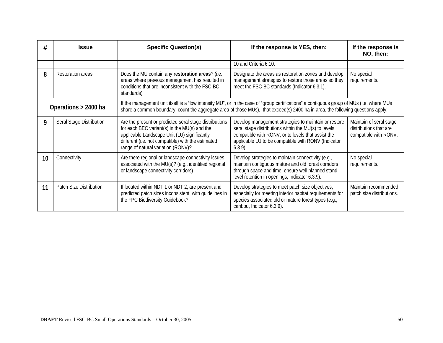| #                                                                                                                                                                                                                                                                                                    | <b>Issue</b>                   | <b>Specific Question(s)</b>                                                                                                                                                                                                                        | If the response is YES, then:                                                                                                                                                                                                           | If the response is<br>NO, then:                                            |
|------------------------------------------------------------------------------------------------------------------------------------------------------------------------------------------------------------------------------------------------------------------------------------------------------|--------------------------------|----------------------------------------------------------------------------------------------------------------------------------------------------------------------------------------------------------------------------------------------------|-----------------------------------------------------------------------------------------------------------------------------------------------------------------------------------------------------------------------------------------|----------------------------------------------------------------------------|
|                                                                                                                                                                                                                                                                                                      |                                |                                                                                                                                                                                                                                                    | 10 and Criteria 6.10.                                                                                                                                                                                                                   |                                                                            |
| 8                                                                                                                                                                                                                                                                                                    | Restoration areas              | Does the MU contain any restoration areas? (i.e.,<br>areas where previous management has resulted in<br>conditions that are inconsistent with the FSC-BC<br>standards)                                                                             | Designate the areas as restoration zones and develop<br>management strategies to restore those areas so they<br>meet the FSC-BC standards (Indicator 6.3.1).                                                                            | No special<br>requirements.                                                |
| If the management unit itself is a "low intensity MU", or in the case of "group certifications" a contiguous group of MUs (i.e. where MUs<br>Operations > 2400 ha<br>share a common boundary, count the aggregate area of those MUs), that exceed(s) 2400 ha in area, the following questions apply: |                                |                                                                                                                                                                                                                                                    |                                                                                                                                                                                                                                         |                                                                            |
| 9                                                                                                                                                                                                                                                                                                    | Seral Stage Distribution       | Are the present or predicted seral stage distributions<br>for each BEC variant(s) in the MU(s) and the<br>applicable Landscape Unit (LU) significantly<br>different (i.e. not compatible) with the estimated<br>range of natural variation (RONV)? | Develop management strategies to maintain or restore<br>seral stage distributions within the MU(s) to levels<br>compatible with RONV; or to levels that assist the<br>applicable LU to be compatible with RONV (Indicator<br>$6.3.9$ ). | Maintain of seral stage<br>distributions that are<br>compatible with RONV. |
| 10                                                                                                                                                                                                                                                                                                   | Connectivity                   | Are there regional or landscape connectivity issues<br>associated with the MU(s)? (e.g., identified regional<br>or landscape connectivity corridors)                                                                                               | Develop strategies to maintain connectivity (e.g.,<br>maintain contiguous mature and old forest corridors<br>through space and time, ensure well planned stand<br>level retention in openings, Indicator 6.3.9).                        | No special<br>requirements.                                                |
| 11                                                                                                                                                                                                                                                                                                   | <b>Patch Size Distribution</b> | If located within NDT 1 or NDT 2, are present and<br>predicted patch sizes inconsistent with guidelines in<br>the FPC Biodiversity Guidebook?                                                                                                      | Develop strategies to meet patch size objectives,<br>especially for meeting interior habitat requirements for<br>species associated old or mature forest types (e.g.,<br>caribou, Indicator 6.3.9).                                     | Maintain recommended<br>patch size distributions.                          |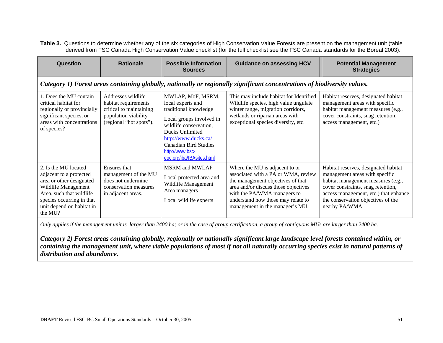Table 3. Questions to determine whether any of the six categories of High Conservation Value Forests are present on the management unit (table derived from FSC Canada High Conservation Value checklist (for the full checklist see the FSC Canada standards for the Boreal 2003).

| Question                                                                                                                                                                                            | <b>Rationale</b>                                                                                                         | <b>Possible Information</b><br><b>Sources</b>                                                                                                                                                                                                    | <b>Guidance on assessing HCV</b>                                                                                                                                                                                                                           | <b>Potential Management</b><br><b>Strategies</b>                                                                                                                                                                                                   |  |  |
|-----------------------------------------------------------------------------------------------------------------------------------------------------------------------------------------------------|--------------------------------------------------------------------------------------------------------------------------|--------------------------------------------------------------------------------------------------------------------------------------------------------------------------------------------------------------------------------------------------|------------------------------------------------------------------------------------------------------------------------------------------------------------------------------------------------------------------------------------------------------------|----------------------------------------------------------------------------------------------------------------------------------------------------------------------------------------------------------------------------------------------------|--|--|
| Category 1) Forest areas containing globally, nationally or regionally significant concentrations of biodiversity values.                                                                           |                                                                                                                          |                                                                                                                                                                                                                                                  |                                                                                                                                                                                                                                                            |                                                                                                                                                                                                                                                    |  |  |
| 1. Does the MU contain<br>critical habitat for<br>regionally or provincially<br>significant species, or<br>areas with concentrations<br>of species?                                                 | Addresses wildlife<br>habitat requirements<br>critical to maintaining<br>population viability<br>(regional "hot spots"). | MWLAP, MoF, MSRM,<br>local experts and<br>traditional knowledge<br>Local groups involved in<br>wildlife conservation,<br>Ducks Unlimited<br>http://www.ducks.ca/<br><b>Canadian Bird Studies</b><br>http://www.bsc-<br>eoc.org/iba/IBAsites.html | This may include habitat for Identified<br>Wildlife species, high value ungulate<br>winter range, migration corridors,<br>wetlands or riparian areas with<br>exceptional species diversity, etc.                                                           | Habitat reserves, designated habitat<br>management areas with specific<br>habitat management measures (e.g.,<br>cover constraints, snag retention,<br>access management, etc.)                                                                     |  |  |
| 2. Is the MU located<br>adjacent to a protected<br>area or other designated<br>Wildlife Management<br>Area, such that wildlife<br>species occurring in that<br>unit depend on habitat in<br>the MU? | Ensures that<br>management of the MU<br>does not undermine<br>conservation measures<br>in adjacent areas.                | <b>MSRM</b> and <b>MWLAP</b><br>Local protected area and<br>Wildlife Management<br>Area managers<br>Local wildlife experts                                                                                                                       | Where the MU is adjacent to or<br>associated with a PA or WMA, review<br>the management objectives of that<br>area and/or discuss those objectives<br>with the PA/WMA managers to<br>understand how those may relate to<br>management in the manager's MU. | Habitat reserves, designated habitat<br>management areas with specific<br>habitat management measures (e.g.,<br>cover constraints, snag retention,<br>access management, etc.) that enhance<br>the conservation objectives of the<br>nearby PA/WMA |  |  |

*Only applies if the management unit is larger than 2400 ha; or in the case of group certification, a group of contiguous MUs are larger than 2400 ha.* 

*Category 2) Forest areas containing globally, regionally or nationally significant large landscape level forests contained within, or containing the management unit, where viable populations of most if not all naturally occurring species exist in natural patterns of distribution and abundance.*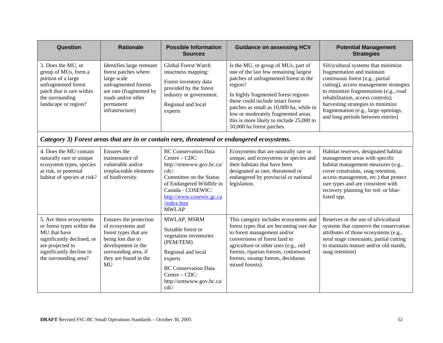| Question                                                                                                                                                                     | <b>Rationale</b>                                                                                                                                                              | <b>Possible Information</b><br><b>Sources</b>                                                                                                                                                                             | <b>Guidance on assessing HCV</b>                                                                                                                                                                                                                                                                                                                                       | <b>Potential Management</b><br><b>Strategies</b>                                                                                                                                                                                                                                                                                                |  |  |
|------------------------------------------------------------------------------------------------------------------------------------------------------------------------------|-------------------------------------------------------------------------------------------------------------------------------------------------------------------------------|---------------------------------------------------------------------------------------------------------------------------------------------------------------------------------------------------------------------------|------------------------------------------------------------------------------------------------------------------------------------------------------------------------------------------------------------------------------------------------------------------------------------------------------------------------------------------------------------------------|-------------------------------------------------------------------------------------------------------------------------------------------------------------------------------------------------------------------------------------------------------------------------------------------------------------------------------------------------|--|--|
| 3. Does the MU, or<br>group of MUs, form a<br>portion of a large<br>unfragmented forest<br>patch that is rare within<br>the surrounding<br>landscape or region?              | Identifies large remnant<br>forest patches where<br>large scale<br>unfragmented forests<br>are rare (fragmented by<br>roads and/or other<br>permanent<br>infrastructure)      | <b>Global Forest Watch</b><br>intactness mapping:<br>Forest inventory data<br>provided by the forest<br>industry or government.<br>Regional and local<br>experts                                                          | Is the MU, or group of MUs, part of<br>one of the last few remaining largest<br>patches of unfragmented forest in the<br>region?<br>In highly fragmented forest regions<br>these could include intact forest<br>patches as small as 10,000 ha, while in<br>low or moderately fragmented areas<br>this is more likely to include 25,000 to<br>50,000 ha forest patches. | Silvicultural systems that minimize<br>fragmentation and maintain<br>continuous forest (e.g., partial<br>cutting), access management strategies<br>to minimize fragmentation (e.g., road<br>rehabilitation, access controls);<br>harvesting strategies to minimize<br>fragmentation (e.g., large openings,<br>and long periods between entries) |  |  |
|                                                                                                                                                                              | Category 3) Forest areas that are in or contain rare, threatened or endangered ecosystems.                                                                                    |                                                                                                                                                                                                                           |                                                                                                                                                                                                                                                                                                                                                                        |                                                                                                                                                                                                                                                                                                                                                 |  |  |
| 4. Does the MU contain<br>naturally rare or unique<br>ecosystem types, species<br>at risk, or potential<br>habitat of species at risk?                                       | Ensures the<br>maintenance of<br>vulnerable and/or<br>irreplaceable elements<br>of biodiversity.                                                                              | <b>BC</b> Conservation Data<br>$Centre - CDC:$<br>http://srmwww.gov.bc.ca/<br>cdc/<br>Committee on the Status<br>of Endangered Wildlife in<br>Canada - COSEWIC:<br>http://www.cosewic.gc.ca<br>/index.htm<br><b>MWLAP</b> | Ecosystems that are naturally rare or<br>unique, and ecosystems or species and<br>their habitats that have been<br>designated as rare, threatened or<br>endangered by provincial or national<br>legislation.                                                                                                                                                           | Habitat reserves, designated habitat<br>management areas with specific<br>habitat management measures (e.g.,<br>cover constraints, snag retention,<br>access management, etc.) that protect<br>rare types and are consistent with<br>recovery planning for red- or blue-<br>listed spp.                                                         |  |  |
| 5. Are there ecosystems<br>or forest types within the<br>MU that have<br>significantly declined, or<br>are projected to<br>significantly decline in<br>the surrounding area? | Ensures the protection<br>of ecosystems and<br>forest types that are<br>being lost due to<br>development in the<br>surrounding area, if<br>they are found in the<br><b>MU</b> | MWLAP, MSRM<br>Suitable forest or<br>vegetation inventories<br>(PEM/TEM)<br>Regional and local<br>experts<br><b>BC</b> Conservation Data<br>Centre – CDC:<br>http://srmwww.gov.bc.ca/<br>cdc/                             | This category includes ecosystems and<br>forest types that are becoming rare due<br>to forest management and/or<br>conversions of forest land to<br>agriculture or other uses (e.g., old<br>forests, riparian forests, cottonwood<br>forests, swamp forests, deciduous<br>mixed forests).                                                                              | Reserves or the use of silvicultural<br>systems that conserve the conservation<br>attributes of those ecosystems (e.g.,<br>seral stage constraints, partial cutting<br>to maintain mature and/or old stands,<br>snag retention)                                                                                                                 |  |  |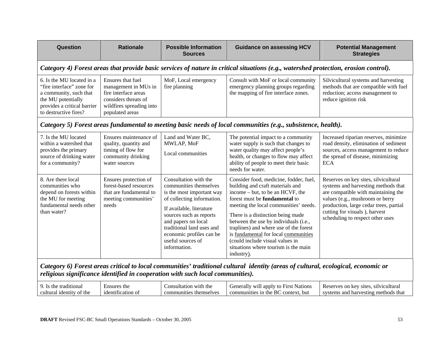| Question                                                                                                                                                       | <b>Rationale</b>                                                                                                                         | <b>Possible Information</b><br><b>Sources</b>                                                                                                                                                                                                                                          | <b>Guidance on assessing HCV</b>                                                                                                                                                                                                                                                                                                                                                                                                                         | <b>Potential Management</b><br><b>Strategies</b>                                                                                                                                                                                                                     |  |  |  |
|----------------------------------------------------------------------------------------------------------------------------------------------------------------|------------------------------------------------------------------------------------------------------------------------------------------|----------------------------------------------------------------------------------------------------------------------------------------------------------------------------------------------------------------------------------------------------------------------------------------|----------------------------------------------------------------------------------------------------------------------------------------------------------------------------------------------------------------------------------------------------------------------------------------------------------------------------------------------------------------------------------------------------------------------------------------------------------|----------------------------------------------------------------------------------------------------------------------------------------------------------------------------------------------------------------------------------------------------------------------|--|--|--|
|                                                                                                                                                                | Category 4) Forest areas that provide basic services of nature in critical situations (e.g., watershed protection, erosion control).     |                                                                                                                                                                                                                                                                                        |                                                                                                                                                                                                                                                                                                                                                                                                                                                          |                                                                                                                                                                                                                                                                      |  |  |  |
| 6. Is the MU located in a<br>"fire interface" zone for<br>a community, such that<br>the MU potentially<br>provides a critical barrier<br>to destructive fires? | Ensures that fuel<br>management in MUs in<br>fire interface areas<br>considers threats of<br>wildfires spreading into<br>populated areas | MoF, Local emergency<br>fire planning                                                                                                                                                                                                                                                  | Consult with MoF or local community<br>emergency planning groups regarding<br>the mapping of fire interface zones.                                                                                                                                                                                                                                                                                                                                       | Silvicultural systems and harvesting<br>methods that are compatible with fuel<br>reduction; access management to<br>reduce ignition risk                                                                                                                             |  |  |  |
|                                                                                                                                                                | Category 5) Forest areas fundamental to meeting basic needs of local communities (e.g., subsistence, health).                            |                                                                                                                                                                                                                                                                                        |                                                                                                                                                                                                                                                                                                                                                                                                                                                          |                                                                                                                                                                                                                                                                      |  |  |  |
| 7. Is the MU located<br>within a watershed that<br>provides the primary<br>source of drinking water<br>for a community?                                        | Ensures maintenance of<br>quality, quantity and<br>timing of flow for<br>community drinking<br>water sources                             | Land and Water BC,<br>MWLAP, MoF<br>Local communities                                                                                                                                                                                                                                  | The potential impact to a community<br>water supply is such that changes to<br>water quality may affect people's<br>health, or changes to flow may affect<br>ability of people to meet their basic<br>needs for water.                                                                                                                                                                                                                                   | Increased riparian reserves, minimize<br>road density, elimination of sediment<br>sources, access management to reduce<br>the spread of disease, minimizing<br><b>ECA</b>                                                                                            |  |  |  |
| 8. Are there local<br>communities who<br>depend on forests within<br>the MU for meeting<br>fundamental needs other<br>than water?                              | Ensures protection of<br>forest-based resources<br>that are fundamental to<br>meeting communities'<br>needs                              | Consultation with the<br>communities themselves<br>is the most important way<br>of collecting information.<br>If available, literature<br>sources such as reports<br>and papers on local<br>traditional land uses and<br>economic profiles can be<br>useful sources of<br>information. | Consider food, medicine, fodder, fuel,<br>building and craft materials and<br>income – but, to be an HCVF, the<br>forest must be <b>fundamental</b> to<br>meeting the local communities' needs.<br>There is a distinction being made<br>between the use by individuals (i.e.,<br>traplines) and where use of the forest<br>is fundamental for local communities<br>(could include visual values in<br>situations where tourism is the main<br>industry). | Reserves on key sites, silvicultural<br>systems and harvesting methods that<br>are compatible with maintaining the<br>values (e.g., mushroom or berry<br>production, large cedar trees, partial<br>cutting for visuals), harvest<br>scheduling to respect other uses |  |  |  |

*Category 6) Forest areas critical to local communities' traditional cultural identity (areas of cultural, ecological, economic or religious significance identified in cooperation with such local communities).* 

| litional<br>the<br>at            | Ensures<br>' the | with the<br><b>II</b><br>⌒ひ<br>нғағ<br>on   | Nation<br>anniv<br>W111<br>a Hv<br>$\epsilon$ rener<br>$+$ $-$<br>- HITSL<br>aı | -site<br>$\sim$ m<br>Reserves<br>silvicultural<br>kev |
|----------------------------------|------------------|---------------------------------------------|---------------------------------------------------------------------------------|-------------------------------------------------------|
| † the<br>cultural<br>ntity<br>ΩI | cation of        | . $_{\text{1}}$ then<br>$\cup$ mselv $\cap$ | $\mathbf{D}$<br>в0<br>. but<br>context.<br>the<br>. nunities<br>omn             | methods that<br>systems<br>ano<br>. harvesting        |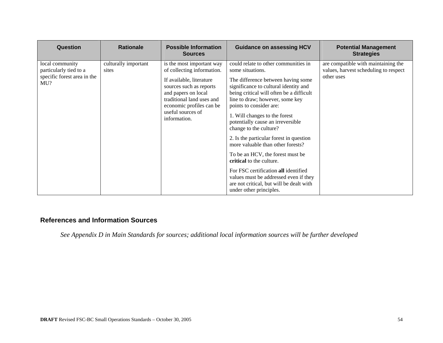| <b>Question</b>                                                                 | <b>Rationale</b>              | <b>Possible Information</b><br><b>Sources</b>                                                                                                                                                                                       | <b>Guidance on assessing HCV</b>                                                                                                                                                                                                                                                                                                                                                                                                                                                                                                                                                                                                                          | <b>Potential Management</b><br><b>Strategies</b>                                           |
|---------------------------------------------------------------------------------|-------------------------------|-------------------------------------------------------------------------------------------------------------------------------------------------------------------------------------------------------------------------------------|-----------------------------------------------------------------------------------------------------------------------------------------------------------------------------------------------------------------------------------------------------------------------------------------------------------------------------------------------------------------------------------------------------------------------------------------------------------------------------------------------------------------------------------------------------------------------------------------------------------------------------------------------------------|--------------------------------------------------------------------------------------------|
| local community<br>particularly tied to a<br>specific forest area in the<br>MU? | culturally important<br>sites | is the most important way<br>of collecting information.<br>If available, literature<br>sources such as reports<br>and papers on local<br>traditional land uses and<br>economic profiles can be<br>useful sources of<br>information. | could relate to other communities in<br>some situations.<br>The difference between having some<br>significance to cultural identity and<br>being critical will often be a difficult<br>line to draw; however, some key<br>points to consider are:<br>1. Will changes to the forest<br>potentially cause an irreversible<br>change to the culture?<br>2. Is the particular forest in question<br>more valuable than other forests?<br>To be an HCV, the forest must be<br>critical to the culture.<br>For FSC certification all identified<br>values must be addressed even if they<br>are not critical, but will be dealt with<br>under other principles. | are compatible with maintaining the<br>values, harvest scheduling to respect<br>other uses |

# **References and Information Sources**

*See Appendix D in Main Standards for sources; additional local information sources will be further developed*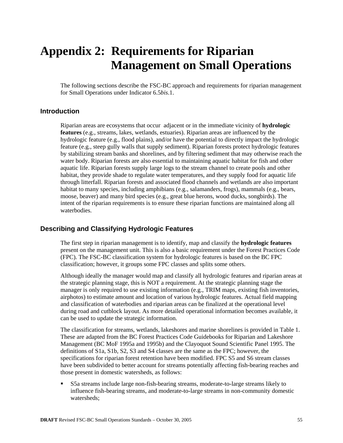# **Appendix 2: Requirements for Riparian Management on Small Operations**

The following sections describe the FSC-BC approach and requirements for riparian management for Small Operations under Indicator 6.5*bis*.1.

### **Introduction**

Riparian areas are ecosystems that occur adjacent or in the immediate vicinity of **hydrologic features** (e.g., streams, lakes, wetlands, estuaries). Riparian areas are influenced by the hydrologic feature (e.g., flood plains), and/or have the potential to directly impact the hydrologic feature (e.g., steep gully walls that supply sediment). Riparian forests protect hydrologic features by stabilizing stream banks and shorelines, and by filtering sediment that may otherwise reach the water body. Riparian forests are also essential to maintaining aquatic habitat for fish and other aquatic life. Riparian forests supply large logs to the stream channel to create pools and other habitat, they provide shade to regulate water temperatures, and they supply food for aquatic life through litterfall. Riparian forests and associated flood channels and wetlands are also important habitat to many species, including amphibians (e.g., salamanders, frogs), mammals (e.g., bears, moose, beaver) and many bird species (e.g., great blue herons, wood ducks, songbirds). The intent of the riparian requirements is to ensure these riparian functions are maintained along all waterbodies.

#### **Describing and Classifying Hydrologic Features**

The first step in riparian management is to identify, map and classify the **hydrologic features** present on the management unit. This is also a basic requirement under the Forest Practices Code (FPC). The FSC-BC classification system for hydrologic features is based on the BC FPC classification; however, it groups some FPC classes and splits some others.

Although ideally the manager would map and classify all hydrologic features and riparian areas at the strategic planning stage, this is NOT a requirement. At the strategic planning stage the manager is only required to use existing information (e.g., TRIM maps, existing fish inventories, airphotos) to estimate amount and location of various hydrologic features. Actual field mapping and classification of waterbodies and riparian areas can be finalized at the operational level during road and cutblock layout. As more detailed operational information becomes available, it can be used to update the strategic information.

The classification for streams, wetlands, lakeshores and marine shorelines is provided in Table 1. These are adapted from the BC Forest Practices Code Guidebooks for Riparian and Lakeshore Management (BC MoF 1995a and 1995b) and the Clayoquot Sound Scientific Panel 1995. The definitions of S1a, S1b, S2, S3 and S4 classes are the same as the FPC; however, the specifications for riparian forest retention have been modified. FPC S5 and S6 stream classes have been subdivided to better account for streams potentially affecting fish-bearing reaches and those present in domestic watersheds, as follows:

 S5a streams include large non-fish-bearing streams, moderate-to-large streams likely to influence fish-bearing streams, and moderate-to-large streams in non-community domestic watersheds;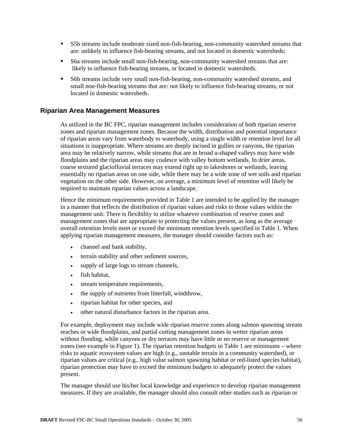- S5b streams include moderate sized non-fish-bearing, non-community watershed streams that are: unlikely to influence fish-bearing streams, and not located in domestic watersheds;
- S6a streams include small non-fish-bearing, non-community watershed streams that are: likely to influence fish-bearing streams, or located in domestic watersheds.
- S6b streams include very small non-fish-bearing, non-community watershed streams, and small non-fish-bearing streams that are: not likely to influence fish-bearing streams, or not located in domestic watersheds.

### **Riparian Area Management Measures**

As utilized in the BC FPC, riparian management includes consideration of both riparian reserve zones and riparian management zones. Because the width, distribution and potential importance of riparian areas vary from waterbody to waterbody, using a single width or retention level for all situations is inappropriate. Where streams are deeply incised in gullies or canyons, the riparian area may be relatively narrow, while streams that are in broad u-shaped valleys may have wide floodplains and the riparian areas may coalesce with valley bottom wetlands. In drier areas, coarse textured glaciofluvial terraces may extend right up to lakeshores or wetlands, leaving essentially no riparian areas on one side, while there may be a wide zone of wet soils and riparian vegetation on the other side. However, on average, a minimum level of retention will likely be required to maintain riparian values across a landscape.

Hence the minimum requirements provided in Table 1 are intended to be applied by the manager in a manner that reflects the distribution of riparian values and risks to those values within the management unit. There is flexibility to utilize whatever combination of reserve zones and management zones that are appropriate to protecting the values present, as long as the average overall retention levels meet or exceed the minimum retention levels specified in Table 1. When applying riparian management measures, the manager should consider factors such as:

- channel and bank stability,
- terrain stability and other sediment sources,
- supply of large logs to stream channels,
- fish habitat,
- stream temperature requirements,
- the supply of nutrients from litterfall, windthrow,
- riparian habitat for other species, and
- other natural disturbance factors in the riparian area.

For example, deployment may include wide riparian reserve zones along salmon spawning stream reaches or wide floodplains, and partial cutting management zones in wetter riparian areas without flooding, while canyons or dry terraces may have little or no reserve or management zones (see example in Figure 1). The riparian retention budgets in Table 1 are minimums – where risks to aquatic ecosystem values are high (e.g., unstable terrain in a community watershed), or riparian values are critical (e.g., high value salmon spawning habitat or red-listed species habitat), riparian protection may have to exceed the minimum budgets to adequately protect the values present.

The manager should use his/her local knowledge and experience to develop riparian management measures. If they are available, the manager should also consult other studies such as riparian or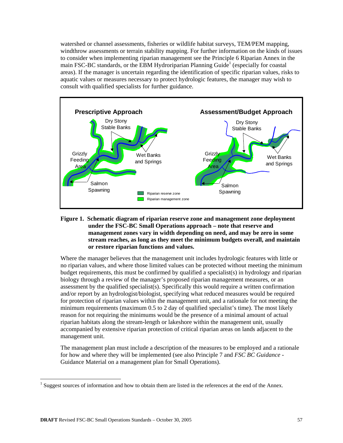watershed or channel assessments, fisheries or wildlife habitat surveys, TEM/PEM mapping, windthrow assessments or terrain stability mapping. For further information on the kinds of issues to consider when implementing riparian management see the Principle 6 Riparian Annex in the main FSC-BC standards, or the EBM Hydroriparian Planning Guide<sup>1</sup> (especially for coastal areas). If the manager is uncertain regarding the identification of specific riparian values, risks to aquatic values or measures necessary to protect hydrologic features, the manager may wish to consult with qualified specialists for further guidance.



#### **Figure 1. Schematic diagram of riparian reserve zone and management zone deployment under the FSC-BC Small Operations approach – note that reserve and management zones vary in width depending on need, and may be zero in some stream reaches, as long as they meet the minimum budgets overall, and maintain or restore riparian functions and values.**

Where the manager believes that the management unit includes hydrologic features with little or no riparian values, and where those limited values can be protected without meeting the minimum budget requirements, this must be confirmed by qualified a specialist(s) in hydrology and riparian biology through a review of the manager's proposed riparian management measures, or an assessment by the qualified specialist(s). Specifically this would require a written confirmation and/or report by an hydrologist/biologist, specifying what reduced measures would be required for protection of riparian values within the management unit, and a rationale for not meeting the minimum requirements (maximum 0.5 to 2 day of qualified specialist's time). The most likely reason for not requiring the minimums would be the presence of a minimal amount of actual riparian habitats along the stream-length or lakeshore within the management unit, usually accompanied by extensive riparian protection of critical riparian areas on lands adjacent to the management unit.

The management plan must include a description of the measures to be employed and a rationale for how and where they will be implemented (see also Principle 7 and *FSC BC Guidance* - Guidance Material on a management plan for Small Operations).

 $\overline{a}$ 

<sup>&</sup>lt;sup>1</sup> Suggest sources of information and how to obtain them are listed in the references at the end of the Annex.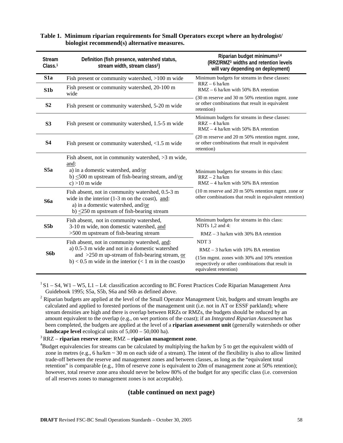| <b>Stream</b><br>Class. <sup>1</sup> | Definition (fish presence, watershed status,<br>stream width, stream class <sup>1</sup> )                                                                                                                        | Riparian budget minimums <sup>2,4</sup><br>(RRZ/RMZ <sup>3</sup> widths and retention levels<br>will vary depending on deployment)                                                     |
|--------------------------------------|------------------------------------------------------------------------------------------------------------------------------------------------------------------------------------------------------------------|----------------------------------------------------------------------------------------------------------------------------------------------------------------------------------------|
| S <sub>1</sub> a                     | Fish present or community watershed, >100 m wide                                                                                                                                                                 | Minimum budgets for streams in these classes:                                                                                                                                          |
| S1b                                  | Fish present or community watershed, 20-100 m<br>wide                                                                                                                                                            | $RRZ - 6$ ha/km<br>$RMZ - 6$ ha/km with 50% BA retention                                                                                                                               |
| S <sub>2</sub>                       | Fish present or community watershed, 5-20 m wide                                                                                                                                                                 | (30 m reserve and 30 m 50% retention mgmt. zone<br>or other combinations that result in equivalent<br>retention)                                                                       |
| S <sub>3</sub>                       | Fish present or community watershed, 1.5-5 m wide                                                                                                                                                                | Minimum budgets for streams in these classes:<br>$RRZ - 4$ ha/km<br>$RMZ - 4$ ha/km with 50% BA retention                                                                              |
| <b>S4</b>                            | Fish present or community watershed, $< 1.5$ m wide                                                                                                                                                              | (20 m reserve and 20 m 50% retention mgmt. zone,<br>or other combinations that result in equivalent<br>retention)                                                                      |
| S5a                                  | Fish absent, not in community watershed, >3 m wide,<br>and:<br>a) in a domestic watershed, and/or<br>b) $\langle 500 \text{ m} \rangle$ upstream of fish-bearing stream, and/or<br>$c$ ) >10 m wide              | Minimum budgets for streams in this class:<br>$RRZ - 2$ ha/km<br>$RMZ - 4$ ha/km with 50% BA retention                                                                                 |
| S6a                                  | Fish absent, not in community watershed, 0.5-3 m<br>wide in the interior $(1-3 \text{ m on the coast})$ , and:<br>a) in a domestic watershed, and/or<br>b) $\leq$ 250 m upstream of fish-bearing stream          | $(10 \text{ m} \text{ reserve} \text{ and } 20 \text{ m} \text{ 50\%} \text{ retention} \text{ mgmt.}$ zone or<br>other combinations that result in equivalent retention)              |
| S5b                                  | Fish absent, not in community watershed,<br>3-10 m wide, non domestic watershed, and<br>>500 m upstream of fish-bearing stream                                                                                   | Minimum budgets for streams in this class:<br>NDTs 1,2 and 4:<br>$RMZ - 3$ ha/km with 30% BA retention                                                                                 |
| S6 <sub>b</sub>                      | Fish absent, not in community watershed, and:<br>a) 0.5-3 m wide and not in a domestic watershed<br>and $>250$ m up-stream of fish-bearing stream, or<br>b) < 0.5 m wide in the interior $(< 1$ m in the coast)o | NDT <sub>3</sub><br>$RMZ - 3$ ha/km with 10% BA retention<br>(15m mgmt. zones with 30% and 10% retention<br>respectively or other combinations that result in<br>equivalent retention) |

#### **Table 1. Minimum riparian requirements for Small Operators except where an hydrologist/ biologist recommend(s) alternative measures.**

 $1\text{ S1} - \text{S4}$ , W1 – W5, L1 – L4: classification according to BC Forest Practices Code Riparian Management Area Guidebook 1995; S5a, S5b, S6a and S6b as defined above. 2

<sup>2</sup> Riparian budgets are applied at the level of the Small Operator Management Unit, budgets and stream lengths are calculated and applied to forested portions of the management unit (i.e. not in AT or ESSF parkland); where stream densities are high and there is overlap between RRZs or RMZs, the budgets should be reduced by an amount equivalent to the overlap (e.g., on wet portions of the coast); if an *Integrated Riparian Assessment* has been completed, the budgets are applied at the level of a **riparian assessment unit** (generally watersheds or other **landscape level** ecological units of 5,000 – 50,000 ha).<br><sup>3</sup> RRZ – **riparian reserve zone**; RMZ – **riparian management zone**.

<sup>4</sup>Budget equivalencies for streams can be calculated by multiplying the ha/km by 5 to get the equivalent width of zone in metres (e.g., 6 ha/km  $\sim$  30 m on each side of a stream). The intent of the flexibility is also to allow limited trade-off between the reserve and management zones and between classes, as long as the "equivalent total retention" is comparable (e.g., 10m of reserve zone is equivalent to 20m of management zone at 50% retention); however, total reserve zone area should never be below 80% of the budget for any specific class (i.e. conversion of all reserves zones to management zones is not acceptable).

## **(table continued on next page)**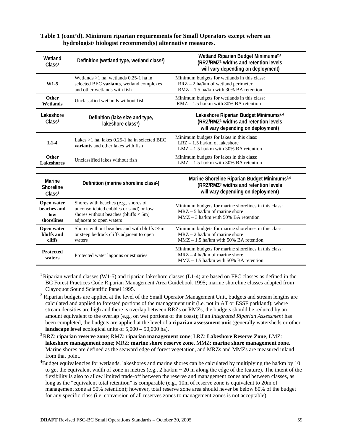#### **Table 1 (cont'd). Minimum riparian requirements for Small Operators except where an hydrologist/ biologist recommend(s) alternative measures.**

| Wetland<br>Class <sup>1</sup>                    | Definition (wetland type, wetland class <sup>1</sup> )                                                                                               | Wetland Riparian Budget Minimums <sup>2,4</sup><br>(RRZ/RMZ <sup>3</sup> widths and retention levels<br>will vary depending on deployment)          |
|--------------------------------------------------|------------------------------------------------------------------------------------------------------------------------------------------------------|-----------------------------------------------------------------------------------------------------------------------------------------------------|
| $W1-5$                                           | Wetlands $>1$ ha, wetlands 0.25-1 ha in<br>selected BEC variants, wetland complexes<br>and other wetlands with fish                                  | Minimum budgets for wetlands in this class:<br>RRZ - 2 ha/km of wetland perimeter<br>$RMZ - 1.5$ ha/km with 30% BA retention                        |
| Other<br>Wetlands                                | Unclassified wetlands without fish                                                                                                                   | Minimum budgets for wetlands in this class:<br>$RMZ - 1.5$ ha/km with 30% BA retention                                                              |
| Lakeshore<br>Class <sup>1</sup>                  | Definition (lake size and type,<br>lakeshore class <sup>1</sup> )                                                                                    | Lakeshore Riparian Budget Minimums <sup>2,4</sup><br>(RRZ/RMZ <sup>3</sup> widths and retention levels<br>will vary depending on deployment)        |
| $L1-4$                                           | Lakes >1 ha, lakes 0.25-1 ha in selected BEC<br>variants and other lakes with fish                                                                   | Minimum budgets for lakes in this class:<br>$LRZ - 1.5$ ha/km of lakeshore<br>$LMZ - 1.5$ ha/km with 30% BA retention                               |
| Other<br><b>Lakeshores</b>                       | Unclassified lakes without fish                                                                                                                      | Minimum budgets for lakes in this class:<br>$LMZ - 1.5$ ha/km with 30% BA retention                                                                 |
|                                                  |                                                                                                                                                      |                                                                                                                                                     |
| Marine<br><b>Shoreline</b><br>Class <sup>1</sup> | Definition (marine shoreline class <sup>1</sup> )                                                                                                    | Marine Shoreline Riparian Budget Minimums <sup>2,4</sup><br>(RRZ/RMZ <sup>3</sup> widths and retention levels<br>will vary depending on deployment) |
| Open water<br>beaches and<br>low<br>shorelines   | Shores with beaches (e.g., shores of<br>unconsolidated cobbles or sand) or low<br>shores without beaches (bluffs $< 5m$ )<br>adjacent to open waters | Minimum budgets for marine shorelines in this class:<br>$MRZ - 5$ ha/km of marine shore<br>$MMZ - 3$ ha/km with 50% BA retention                    |
| Open water<br>bluffs and<br>cliffs               | Shores without beaches and with bluffs $>5m$<br>or steep bedrock cliffs adjacent to open<br>waters                                                   | Minimum budgets for marine shorelines in this class:<br>$MRZ - 2$ ha/km of marine shore<br>$MMZ - 1.5$ ha/km with 50% BA retention                  |
| <b>Protected</b><br>waters                       | Protected water lagoons or estuaries                                                                                                                 | Minimum budgets for marine shorelines in this class:<br>$MRZ - 4$ ha/km of marine shore<br>$MMZ - 1.5$ ha/km with 50% BA retention                  |

<sup>1</sup> Riparian wetland classes (W1-5) and riparian lakeshore classes (L1-4) are based on FPC classes as defined in the BC Forest Practices Code Riparian Management Area Guidebook 1995; marine shoreline classes adapted from Clayoquot Sound Scientific Panel 1995. 2

 $2$  Riparian budgets are applied at the level of the Small Operator Management Unit, budgets and stream lengths are calculated and applied to forested portions of the management unit (i.e. not in AT or ESSF parkland); where stream densities are high and there is overlap between RRZs or RMZs, the budgets should be reduced by an amount equivalent to the overlap (e.g., on wet portions of the coast); if an *Integrated Riparian Assessment* has been completed, the budgets are applied at the level of a **riparian assessment unit** (generally watersheds or other **landscape level** ecological units of 5,000 – 50,000 ha). 3 RRZ: **riparian reserve zone**; RMZ: **riparian management zone**; LRZ: **Lakeshore Reserve Zone**, LMZ:

**lakeshore management zone**; MRZ: **marine shore reserve zone**, MMZ: **marine shore management zone.** Marine shores are defined as the seaward edge of forest vegetation, and MRZs and MMZs are measured inland from that point. 4

 $B^4$ Budget equivalencies for wetlands, lakeshores and marine shores can be calculated by multiplying the ha/km by 10 to get the equivalent width of zone in metres (e.g.,  $2 \text{ ha/km} \sim 20 \text{ m}$  along the edge of the feature). The intent of the flexibility is also to allow limited trade-off between the reserve and management zones and between classes, as long as the "equivalent total retention" is comparable (e.g., 10m of reserve zone is equivalent to 20m of management zone at 50% retention); however, total reserve zone area should never be below 80% of the budget for any specific class (i.e. conversion of all reserves zones to management zones is not acceptable).